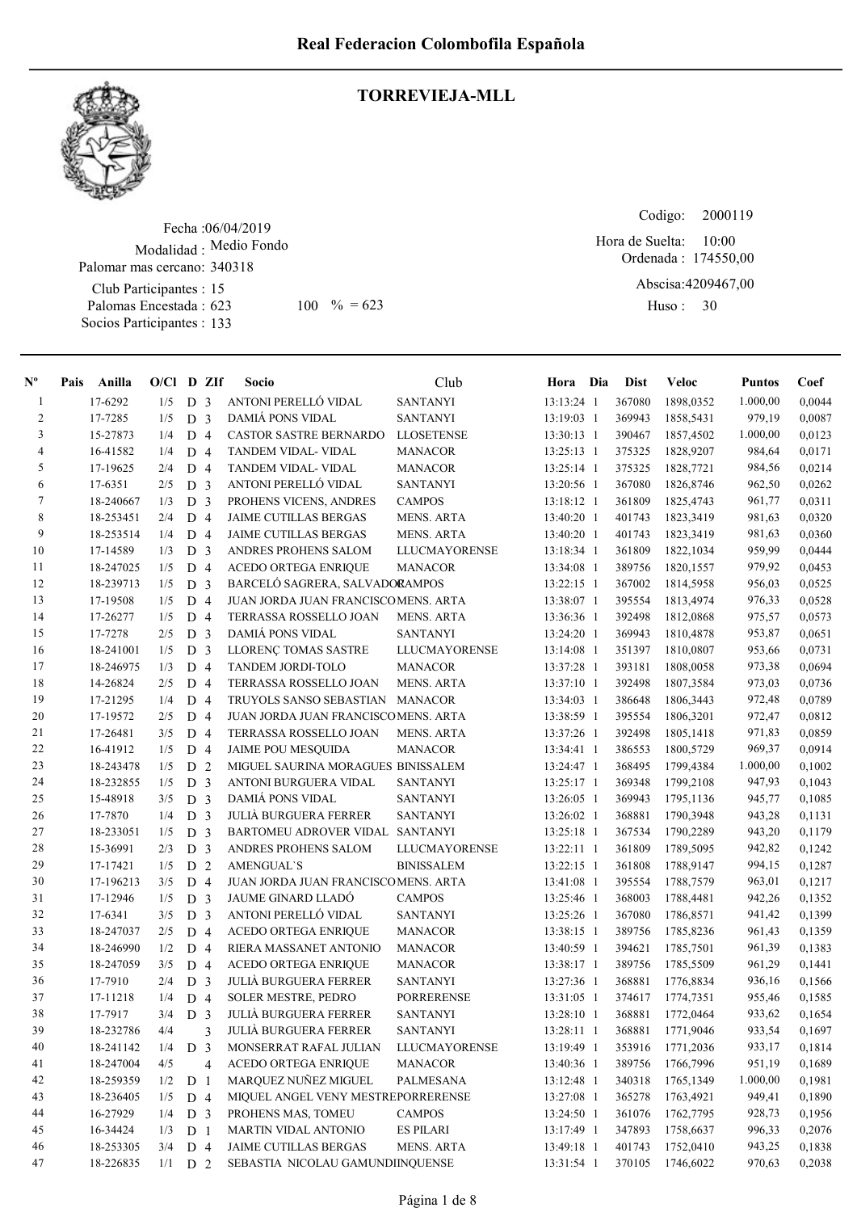

# TORREVIEJA-MLL

Fecha : 06/04/2019 Modalidad : Medio Fondo Club Participantes : 15 Palomas Encestada : Socios Participantes : 133 Palomar mas cercano: 340318 623 100 % = 623 Huso: 30

Ordenada : 174550,00 Abscisa: 4209467,00 Huso: 30 Hora de Suelta: 10:00

Codigo:

| $N^{\circ}$    | Pais Anilla | $O/Cl$ D ZIf |                |                | Socio                               | Club                 | Hora Dia     | <b>Dist</b> | Veloc      | <b>Puntos</b> | Coef   |
|----------------|-------------|--------------|----------------|----------------|-------------------------------------|----------------------|--------------|-------------|------------|---------------|--------|
| $\mathbf{1}$   | 17-6292     | 1/5          | D <sub>3</sub> |                | ANTONI PERELLÓ VIDAL                | <b>SANTANYI</b>      | 13:13:24 1   | 367080      | 1898,0352  | 1.000,00      | 0,0044 |
| $\overline{c}$ | 17-7285     | 1/5          | D <sub>3</sub> |                | <b>DAMIÁ PONS VIDAL</b>             | <b>SANTANYI</b>      | 13:19:03 1   | 369943      | 1858,5431  | 979,19        | 0,0087 |
| 3              | 15-27873    | 1/4          | D <sub>4</sub> |                | CASTOR SASTRE BERNARDO              | <b>LLOSETENSE</b>    | 13:30:13 1   | 390467      | 1857,4502  | 1.000,00      | 0,0123 |
| $\overline{4}$ | 16-41582    | 1/4          | D              | $\overline{4}$ | TANDEM VIDAL- VIDAL                 | <b>MANACOR</b>       | 13:25:13 1   | 375325      | 1828,9207  | 984,64        | 0,0171 |
| 5              | 17-19625    | 2/4          | D              | $\overline{4}$ | TANDEM VIDAL- VIDAL                 | <b>MANACOR</b>       | $13:25:14$ 1 | 375325      | 1828,7721  | 984,56        | 0,0214 |
| 6              | 17-6351     | 2/5          | D              | 3              | ANTONI PERELLÓ VIDAL                | <b>SANTANYI</b>      | 13:20:56 1   | 367080      | 1826,8746  | 962,50        | 0,0262 |
| 7              | 18-240667   | 1/3          | D              | 3              | PROHENS VICENS, ANDRES              | <b>CAMPOS</b>        | 13:18:12 1   | 361809      | 1825,4743  | 961,77        | 0,0311 |
| 8              | 18-253451   | 2/4          | D <sub>4</sub> |                | <b>JAIME CUTILLAS BERGAS</b>        | <b>MENS. ARTA</b>    | 13:40:20 1   | 401743      | 1823,3419  | 981,63        | 0,0320 |
| 9              | 18-253514   | 1/4          | D              | $\overline{4}$ | JAIME CUTILLAS BERGAS               | <b>MENS. ARTA</b>    | 13:40:20 1   | 401743      | 1823,3419  | 981,63        | 0,0360 |
| 10             | 17-14589    | 1/3          | D              | 3              | ANDRES PROHENS SALOM                | LLUCMAYORENSE        | 13:18:34 1   | 361809      | 1822,1034  | 959,99        | 0,0444 |
| 11             | 18-247025   | 1/5          | D 4            |                | <b>ACEDO ORTEGA ENRIQUE</b>         | <b>MANACOR</b>       | 13:34:08 1   | 389756      | 1820, 1557 | 979,92        | 0,0453 |
| 12             | 18-239713   | 1/5          | D <sub>3</sub> |                | BARCELÓ SAGRERA, SALVADORAMPOS      |                      | 13:22:15 1   | 367002      | 1814,5958  | 956,03        | 0,0525 |
| 13             | 17-19508    | 1/5          | D <sub>4</sub> |                | JUAN JORDA JUAN FRANCISCOMENS. ARTA |                      | 13:38:07 1   | 395554      | 1813,4974  | 976,33        | 0,0528 |
| 14             | 17-26277    | 1/5          | D <sub>4</sub> |                | TERRASSA ROSSELLO JOAN              | <b>MENS. ARTA</b>    | 13:36:36 1   | 392498      | 1812,0868  | 975,57        | 0,0573 |
| 15             | 17-7278     | 2/5          | D <sub>3</sub> |                | DAMIÁ PONS VIDAL                    | <b>SANTANYI</b>      | 13:24:20 1   | 369943      | 1810,4878  | 953,87        | 0,0651 |
| 16             | 18-241001   | 1/5          | D              | 3              | LLORENÇ TOMAS SASTRE                | <b>LLUCMAYORENSE</b> | 13:14:08 1   | 351397      | 1810,0807  | 953,66        | 0,0731 |
| 17             | 18-246975   | 1/3          | D              | $\overline{4}$ | TANDEM JORDI-TOLO                   | <b>MANACOR</b>       | 13:37:28 1   | 393181      | 1808,0058  | 973,38        | 0,0694 |
| 18             | 14-26824    | 2/5          | D              | $\overline{4}$ | TERRASSA ROSSELLO JOAN              | <b>MENS. ARTA</b>    | 13:37:10 1   | 392498      | 1807,3584  | 973,03        | 0,0736 |
| 19             | 17-21295    | 1/4          | D              | $\overline{4}$ | TRUYOLS SANSO SEBASTIAN             | <b>MANACOR</b>       | 13:34:03 1   | 386648      | 1806,3443  | 972,48        | 0,0789 |
| 20             | 17-19572    | 2/5          | D              | $\overline{4}$ | JUAN JORDA JUAN FRANCISCOMENS. ARTA |                      | 13:38:59 1   | 395554      | 1806,3201  | 972,47        | 0,0812 |
| 21             | 17-26481    | 3/5          | D              | $\overline{4}$ | TERRASSA ROSSELLO JOAN              | <b>MENS. ARTA</b>    | 13:37:26 1   | 392498      | 1805,1418  | 971,83        | 0,0859 |
| 22             | 16-41912    | 1/5          | D              | $\overline{4}$ | <b>JAIME POU MESQUIDA</b>           | <b>MANACOR</b>       | 13:34:41 1   | 386553      | 1800,5729  | 969,37        | 0,0914 |
| 23             | 18-243478   | 1/5          | D              | 2              | MIGUEL SAURINA MORAGUES BINISSALEM  |                      | 13:24:47 1   | 368495      | 1799,4384  | 1.000,00      | 0,1002 |
| 24             | 18-232855   | 1/5          | D              | $\overline{3}$ | ANTONI BURGUERA VIDAL               | <b>SANTANYI</b>      | 13:25:17 1   | 369348      | 1799,2108  | 947,93        | 0,1043 |
| 25             | 15-48918    | 3/5          | D <sub>3</sub> |                | <b>DAMIA PONS VIDAL</b>             | <b>SANTANYI</b>      | 13:26:05 1   | 369943      | 1795,1136  | 945,77        | 0,1085 |
| 26             | 17-7870     | 1/4          | D <sub>3</sub> |                | <b>JULIÀ BURGUERA FERRER</b>        | <b>SANTANYI</b>      | 13:26:02 1   | 368881      | 1790,3948  | 943,28        | 0,1131 |
| $27\,$         | 18-233051   | 1/5          | D              | 3              | BARTOMEU ADROVER VIDAL              | <b>SANTANYI</b>      | 13:25:18 1   | 367534      | 1790,2289  | 943,20        | 0,1179 |
| 28             | 15-36991    | 2/3          | D              | 3              | ANDRES PROHENS SALOM                | LLUCMAYORENSE        | 13:22:11 1   | 361809      | 1789,5095  | 942,82        | 0,1242 |
| 29             | 17-17421    | 1/5          | D              | $\overline{2}$ | <b>AMENGUAL'S</b>                   | <b>BINISSALEM</b>    | $13:22:15$ 1 | 361808      | 1788,9147  | 994,15        | 0,1287 |
| 30             | 17-196213   | 3/5          | D <sub>4</sub> |                | JUAN JORDA JUAN FRANCISCOMENS. ARTA |                      | 13:41:08 1   | 395554      | 1788,7579  | 963,01        | 0,1217 |
| 31             | 17-12946    | 1/5          | D              | $\overline{3}$ | JAUME GINARD LLADÓ                  | <b>CAMPOS</b>        | 13:25:46 1   | 368003      | 1788,4481  | 942,26        | 0,1352 |
| 32             | 17-6341     | 3/5          | D              | 3              | ANTONI PERELLÓ VIDAL                | <b>SANTANYI</b>      | 13:25:26 1   | 367080      | 1786,8571  | 941,42        | 0,1399 |
| 33             | 18-247037   | 2/5          | D              | $\overline{4}$ | <b>ACEDO ORTEGA ENRIQUE</b>         | <b>MANACOR</b>       | 13:38:15 1   | 389756      | 1785,8236  | 961,43        | 0,1359 |
| 34             | 18-246990   | 1/2          | D              | $\overline{4}$ | RIERA MASSANET ANTONIO              | <b>MANACOR</b>       | 13:40:59 1   | 394621      | 1785,7501  | 961,39        | 0,1383 |
| 35             | 18-247059   | 3/5          | D 4            |                | ACEDO ORTEGA ENRIQUE                | <b>MANACOR</b>       | 13:38:17 1   | 389756      | 1785,5509  | 961,29        | 0,1441 |
| 36             | 17-7910     | 2/4          | D <sub>3</sub> |                | JULIÀ BURGUERA FERRER               | <b>SANTANYI</b>      | 13:27:36 1   | 368881      | 1776,8834  | 936,16        | 0,1566 |
| 37             | 17-11218    | 1/4          | D <sub>4</sub> |                | <b>SOLER MESTRE, PEDRO</b>          | PORRERENSE           | 13:31:05 1   | 374617      | 1774,7351  | 955,46        | 0,1585 |
| 38             | 17-7917     | 3/4          | D <sub>3</sub> |                | JULIÀ BURGUERA FERRER               | <b>SANTANYI</b>      | 13:28:10 1   | 368881      | 1772,0464  | 933,62        | 0,1654 |
| 39             | 18-232786   | 4/4          |                | 3              | <b>JULIÀ BURGUERA FERRER</b>        | <b>SANTANYI</b>      | 13:28:11 1   | 368881      | 1771,9046  | 933,54        | 0,1697 |
| 40             | 18-241142   | 1/4          | D              | 3              | MONSERRAT RAFAL JULIAN              | <b>LLUCMAYORENSE</b> | 13:19:49 1   | 353916      | 1771,2036  | 933,17        | 0,1814 |
| 41             | 18-247004   | 4/5          |                | 4              | <b>ACEDO ORTEGA ENRIQUE</b>         | <b>MANACOR</b>       | 13:40:36 1   | 389756      | 1766,7996  | 951,19        | 0,1689 |
| 42             | 18-259359   | 1/2          | D              | $\mathbf{1}$   | MARQUEZ NUÑEZ MIGUEL                | PALMESANA            | 13:12:48 1   | 340318      | 1765,1349  | 1.000,00      | 0,1981 |
| 43             | 18-236405   | 1/5          | D 4            |                | MIQUEL ANGEL VENY MESTREPORRERENSE  |                      | 13:27:08 1   | 365278      | 1763,4921  | 949,41        | 0,1890 |
| 44             | 16-27929    | 1/4          | D <sub>3</sub> |                | PROHENS MAS, TOMEU                  | <b>CAMPOS</b>        | 13:24:50 1   | 361076      | 1762,7795  | 928,73        | 0,1956 |
| 45             | 16-34424    | 1/3          | D <sub>1</sub> |                | MARTIN VIDAL ANTONIO                | <b>ES PILARI</b>     | 13:17:49 1   | 347893      | 1758,6637  | 996,33        | 0,2076 |
| 46             | 18-253305   | 3/4          | D 4            |                | <b>JAIME CUTILLAS BERGAS</b>        | MENS. ARTA           | 13:49:18 1   | 401743      | 1752,0410  | 943,25        | 0,1838 |
| 47             | 18-226835   | 1/1          | D <sub>2</sub> |                | SEBASTIA NICOLAU GAMUNDIINQUENSE    |                      | 13:31:54 1   | 370105      | 1746,6022  | 970,63        | 0,2038 |
|                |             |              |                |                |                                     |                      |              |             |            |               |        |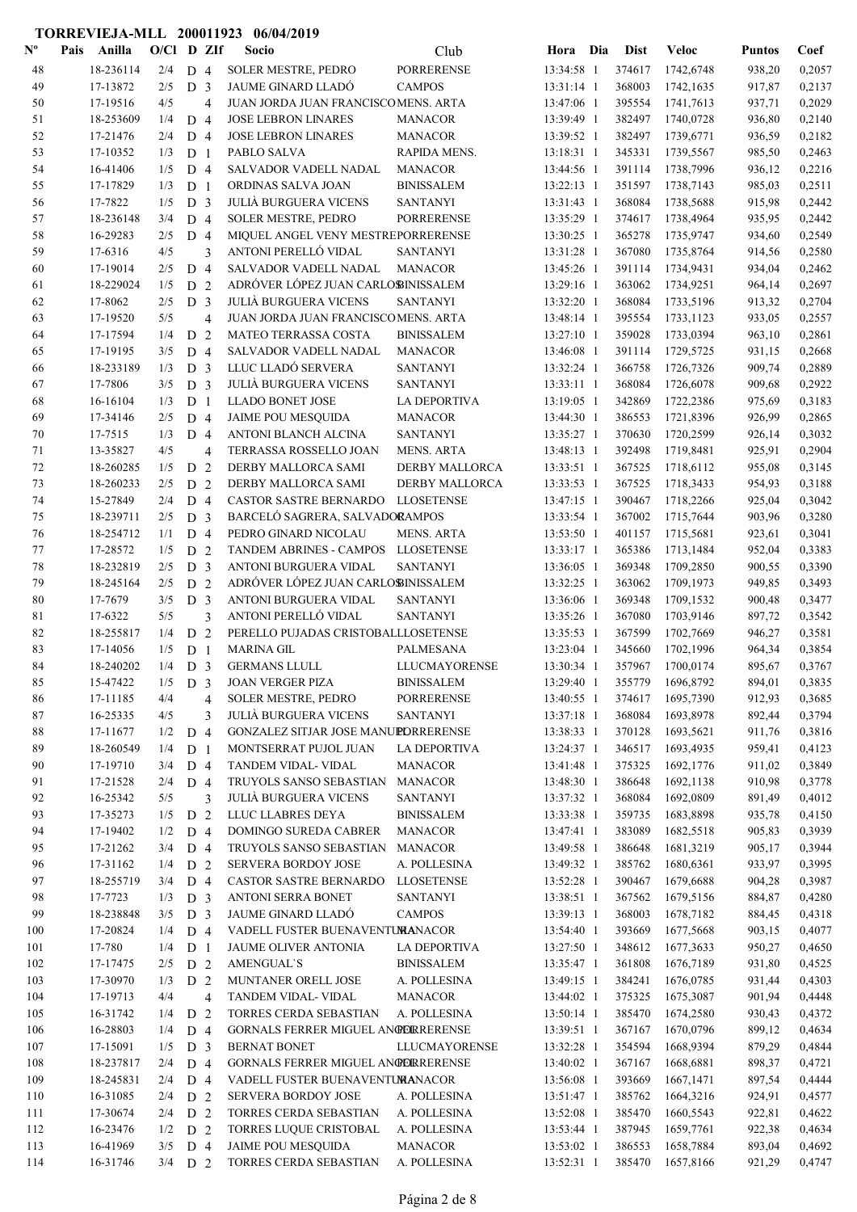| $\mathbf{N}^{\mathbf{o}}$ | Pais    | Anilla               | $O/Cl$ D ZIf |                                  |                | Socio                                             | Club                                 | Hora Dia                 | <b>Dist</b>      | <b>Veloc</b>           | <b>Puntos</b>    | Coef             |
|---------------------------|---------|----------------------|--------------|----------------------------------|----------------|---------------------------------------------------|--------------------------------------|--------------------------|------------------|------------------------|------------------|------------------|
| 48                        |         | 18-236114            | 2/4          | D <sub>4</sub>                   |                | <b>SOLER MESTRE, PEDRO</b>                        | <b>PORRERENSE</b>                    | 13:34:58 1               | 374617           | 1742,6748              | 938,20           | 0,2057           |
| 49                        |         | 17-13872             | 2/5          | D <sub>3</sub>                   |                | <b>JAUME GINARD LLADÓ</b>                         | <b>CAMPOS</b>                        | 13:31:14 1               | 368003           | 1742,1635              | 917,87           | 0,2137           |
| 50                        |         | 17-19516             | 4/5          |                                  | $\overline{4}$ | JUAN JORDA JUAN FRANCISCOMENS. ARTA               |                                      | 13:47:06 1               | 395554           | 1741,7613              | 937,71           | 0,2029           |
| 51                        |         | 18-253609            | 1/4          | D <sub>4</sub>                   |                | <b>JOSE LEBRON LINARES</b>                        | <b>MANACOR</b>                       | 13:39:49 1               | 382497           | 1740,0728              | 936,80           | 0,2140           |
| 52                        |         | 17-21476             | 2/4          | D <sub>4</sub>                   |                | <b>JOSE LEBRON LINARES</b>                        | <b>MANACOR</b>                       | 13:39:52 1               | 382497           | 1739,6771              | 936,59           | 0,2182           |
| 53                        |         | 17-10352             | 1/3          | D <sub>1</sub>                   |                | PABLO SALVA                                       | RAPIDA MENS.                         | 13:18:31 1               | 345331           | 1739,5567              | 985,50           | 0,2463           |
| 54                        |         | 16-41406             | 1/5          | D <sub>4</sub>                   |                | SALVADOR VADELL NADAL                             | <b>MANACOR</b>                       | 13:44:56 1               | 391114           | 1738,7996              | 936,12           | 0,2216           |
| 55                        |         | 17-17829             | 1/3          | D <sub>1</sub>                   |                | ORDINAS SALVA JOAN                                | <b>BINISSALEM</b>                    | 13:22:13 1               | 351597           | 1738,7143              | 985,03           | 0,2511           |
| 56                        | 17-7822 |                      | 1/5          | D <sub>3</sub>                   |                | <b>JULIÀ BURGUERA VICENS</b>                      | <b>SANTANYI</b>                      | 13:31:43 1               | 368084           | 1738,5688              | 915,98           | 0,2442           |
| 57                        |         | 18-236148            | 3/4          | D <sub>4</sub>                   |                | <b>SOLER MESTRE, PEDRO</b>                        | <b>PORRERENSE</b>                    | 13:35:29 1               | 374617           | 1738,4964              | 935,95           | 0,2442           |
| 58                        |         | 16-29283             | 2/5          | D <sub>4</sub>                   |                | MIQUEL ANGEL VENY MESTREPORRERENSE                |                                      | 13:30:25 1               | 365278           | 1735,9747              | 934,60           | 0,2549           |
| 59                        | 17-6316 |                      | 4/5          |                                  | 3              | ANTONI PERELLÓ VIDAL                              | <b>SANTANYI</b>                      | 13:31:28 1               | 367080           | 1735,8764              | 914,56           | 0,2580           |
| 60                        |         | 17-19014             | 2/5          | D <sub>4</sub>                   |                | SALVADOR VADELL NADAL                             | <b>MANACOR</b>                       | 13:45:26 1               | 391114           | 1734,9431              | 934,04           | 0,2462           |
| 61                        |         | 18-229024            | 1/5          | D <sub>2</sub>                   |                | ADRÓVER LÓPEZ JUAN CARLOBINISSALEM                |                                      | 13:29:16 1               | 363062           | 1734,9251              | 964,14           | 0,2697           |
| 62                        | 17-8062 |                      | 2/5          | D <sub>3</sub>                   |                | <b>JULIÀ BURGUERA VICENS</b>                      | <b>SANTANYI</b>                      | 13:32:20 1               | 368084           | 1733,5196              | 913,32           | 0,2704           |
| 63                        |         | 17-19520             | 5/5          |                                  | 4              | JUAN JORDA JUAN FRANCISCOMENS. ARTA               |                                      | 13:48:14 1               | 395554           | 1733,1123              | 933,05           | 0,2557           |
| 64                        |         | 17-17594             | 1/4          | D <sub>2</sub>                   |                | <b>MATEO TERRASSA COSTA</b>                       | <b>BINISSALEM</b>                    | 13:27:10 1               | 359028           | 1733,0394              | 963,10           | 0,2861           |
| 65                        |         | 17-19195             | 3/5          | D <sub>4</sub>                   |                | SALVADOR VADELL NADAL                             | <b>MANACOR</b>                       | 13:46:08 1               | 391114           | 1729,5725              | 931,15           | 0,2668           |
| 66                        |         | 18-233189            | 1/3          | D <sub>3</sub>                   |                | LLUC LLADÓ SERVERA                                | <b>SANTANYI</b>                      | 13:32:24 1               | 366758           | 1726,7326              | 909,74           | 0,2889           |
| 67                        | 17-7806 |                      | 3/5          | D <sub>3</sub>                   |                | <b>JULIÀ BURGUERA VICENS</b>                      | <b>SANTANYI</b>                      | 13:33:11 1               | 368084           | 1726,6078              | 909,68           | 0,2922           |
| 68                        |         | 16-16104             | 1/3          | D <sub>1</sub>                   |                | <b>LLADO BONET JOSE</b>                           | <b>LA DEPORTIVA</b>                  | 13:19:05 1               | 342869           | 1722,2386              | 975,69           | 0,3183           |
| 69                        |         | 17-34146             | 2/5          | D <sub>4</sub>                   |                | <b>JAIME POU MESQUIDA</b>                         | <b>MANACOR</b>                       | 13:44:30 1               | 386553           | 1721,8396              | 926,99           | 0,2865           |
| 70                        | 17-7515 |                      | 1/3          | D <sub>4</sub>                   |                | ANTONI BLANCH ALCINA                              | <b>SANTANYI</b>                      | 13:35:27 1               | 370630           | 1720,2599              | 926,14           | 0,3032           |
| 71                        |         | 13-35827             | 4/5          |                                  | $\overline{4}$ | TERRASSA ROSSELLO JOAN                            | <b>MENS. ARTA</b>                    | 13:48:13 1               | 392498           | 1719,8481              | 925,91           | 0,2904           |
| 72                        |         | 18-260285            | 1/5          | D <sub>2</sub>                   |                | DERBY MALLORCA SAMI                               | DERBY MALLORCA                       | 13:33:51 1               | 367525           | 1718,6112              | 955,08           | 0,3145           |
| 73                        |         | 18-260233            | 2/5          | D <sub>2</sub>                   |                | DERBY MALLORCA SAMI                               | <b>DERBY MALLORCA</b>                | 13:33:53 1               | 367525           | 1718,3433              | 954,93           | 0,3188           |
| 74                        |         | 15-27849             | 2/4          | D <sub>4</sub>                   |                | CASTOR SASTRE BERNARDO                            | <b>LLOSETENSE</b>                    | 13:47:15 1               | 390467           | 1718,2266              | 925,04           | 0,3042           |
| 75                        |         | 18-239711            | 2/5          | D <sub>3</sub>                   |                | BARCELÓ SAGRERA, SALVADORAMPOS                    |                                      | 13:33:54 1               | 367002           | 1715,7644              | 903,96           | 0,3280           |
| 76                        |         | 18-254712            | 1/1          | D <sub>4</sub>                   |                | PEDRO GINARD NICOLAU                              | <b>MENS. ARTA</b>                    | 13:53:50 1               | 401157           | 1715,5681              | 923,61           | 0,3041           |
| 77                        |         | 17-28572             | 1/5          | D 2                              |                | TANDEM ABRINES - CAMPOS                           | <b>LLOSETENSE</b>                    | 13:33:17 1               | 365386           | 1713,1484              | 952,04           | 0,3383           |
| 78                        |         | 18-232819            | 2/5          | D <sub>3</sub>                   |                | ANTONI BURGUERA VIDAL                             | <b>SANTANYI</b>                      | 13:36:05 1               | 369348           | 1709,2850              | 900,55           | 0,3390           |
| 79                        |         | 18-245164            | 2/5          | D <sub>2</sub>                   |                | ADRÓVER LÓPEZ JUAN CARLOBINISSALEM                |                                      | 13:32:25 1               | 363062           | 1709,1973              | 949,85           | 0,3493           |
| 80                        | 17-7679 |                      | 3/5          | D <sub>3</sub>                   |                | ANTONI BURGUERA VIDAL                             | <b>SANTANYI</b>                      | 13:36:06 1               | 369348           | 1709,1532              | 900,48           | 0,3477           |
| 81                        | 17-6322 |                      | 5/5          |                                  | 3              | ANTONI PERELLÓ VIDAL                              | <b>SANTANYI</b>                      | 13:35:26 1               | 367080           | 1703,9146              | 897,72           | 0,3542           |
| 82                        |         | 18-255817            | 1/4          | D <sub>2</sub>                   |                | PERELLO PUJADAS CRISTOBALLLOSETENSE               |                                      | 13:35:53 1               | 367599           | 1702,7669              | 946,27           | 0,3581           |
| 83                        |         | 17-14056             | 1/5          | D <sub>1</sub>                   |                | <b>MARINA GIL</b>                                 | <b>PALMESANA</b>                     | 13:23:04 1               | 345660           | 1702,1996              | 964,34           | 0,3854           |
| 84                        |         | 18-240202            | 1/4          | D <sub>3</sub>                   |                | <b>GERMANS LLULL</b>                              | <b>LLUCMAYORENSE</b>                 | 13:30:34 1               | 357967           | 1700,0174              | 895,67           | 0,3767           |
| 85                        |         | 15-47422             | 1/5          | D <sub>3</sub>                   |                | <b>JOAN VERGER PIZA</b>                           | <b>BINISSALEM</b>                    | 13:29:40 1               | 355779           | 1696,8792              | 894,01           | 0,3835           |
| 86                        |         | 17-11185             | 4/4          |                                  | 4              | SOLER MESTRE, PEDRO                               | <b>PORRERENSE</b>                    | 13:40:55 1               | 374617           | 1695,7390              | 912,93           | 0,3685           |
| 87                        |         | 16-25335             | 4/5          |                                  | 3              | <b>JULIÀ BURGUERA VICENS</b>                      | <b>SANTANYI</b>                      | 13:37:18 1               | 368084           | 1693,8978              | 892,44           | 0,3794           |
| 88                        |         | 17-11677             | 1/2          | D <sub>4</sub>                   |                | GONZALEZ SITJAR JOSE MANUPDRRERENSE               |                                      | 13:38:33 1               | 370128           | 1693,5621              | 911,76           | 0,3816           |
| 89                        |         | 18-260549            | 1/4          | D <sub>1</sub>                   |                | MONTSERRAT PUJOL JUAN                             | <b>LA DEPORTIVA</b>                  | 13:24:37 1               | 346517           | 1693,4935              | 959,41           | 0,4123           |
| 90                        |         | 17-19710             | 3/4          | D <sub>4</sub>                   |                | TANDEM VIDAL- VIDAL                               | <b>MANACOR</b>                       | 13:41:48 1               | 375325           | 1692,1776              | 911,02           | 0,3849           |
| 91                        |         | 17-21528             | 2/4          | D <sub>4</sub>                   |                | TRUYOLS SANSO SEBASTIAN                           | <b>MANACOR</b>                       | 13:48:30 1               | 386648           | 1692,1138              | 910,98           | 0,3778           |
| 92<br>93                  |         | 16-25342<br>17-35273 | 5/5<br>1/5   | D <sub>2</sub>                   | 3              | <b>JULIÀ BURGUERA VICENS</b><br>LLUC LLABRES DEYA | <b>SANTANYI</b><br><b>BINISSALEM</b> | 13:37:32 1<br>13:33:38 1 | 368084<br>359735 | 1692,0809<br>1683,8898 | 891,49<br>935,78 | 0,4012<br>0,4150 |
| 94                        |         | 17-19402             | 1/2          | D <sub>4</sub>                   |                | DOMINGO SUREDA CABRER                             | <b>MANACOR</b>                       | 13:47:41 1               | 383089           | 1682,5518              | 905,83           | 0,3939           |
| 95                        |         | 17-21262             | 3/4          | D <sub>4</sub>                   |                | TRUYOLS SANSO SEBASTIAN                           | <b>MANACOR</b>                       | 13:49:58 1               | 386648           | 1681,3219              | 905,17           | 0,3944           |
| 96                        |         | 17-31162             | 1/4          | D <sub>2</sub>                   |                | <b>SERVERA BORDOY JOSE</b>                        | A. POLLESINA                         | 13:49:32 1               | 385762           | 1680,6361              | 933,97           | 0,3995           |
| 97                        |         | 18-255719            | 3/4          | D <sub>4</sub>                   |                | CASTOR SASTRE BERNARDO                            | <b>LLOSETENSE</b>                    | 13:52:28 1               | 390467           | 1679,6688              | 904,28           | 0,3987           |
| 98                        | 17-7723 |                      | 1/3          | D <sub>3</sub>                   |                | ANTONI SERRA BONET                                | <b>SANTANYI</b>                      | 13:38:51 1               | 367562           | 1679,5156              | 884,87           | 0,4280           |
| 99                        |         | 18-238848            | 3/5          | D <sub>3</sub>                   |                | JAUME GINARD LLADÓ                                | <b>CAMPOS</b>                        | 13:39:13 1               | 368003           | 1678,7182              | 884,45           | 0,4318           |
| 100                       |         | 17-20824             | 1/4          | D <sub>4</sub>                   |                | VADELL FUSTER BUENAVENTUMANACOR                   |                                      | 13:54:40 1               | 393669           | 1677,5668              | 903,15           | 0,4077           |
| 101                       | 17-780  |                      | 1/4          | D <sub>1</sub>                   |                | JAUME OLIVER ANTONIA                              | LA DEPORTIVA                         | 13:27:50 1               | 348612           | 1677,3633              | 950,27           | 0,4650           |
| 102                       |         | 17-17475             | 2/5          | D <sub>2</sub>                   |                | <b>AMENGUAL'S</b>                                 | <b>BINISSALEM</b>                    | 13:35:47 1               | 361808           | 1676,7189              | 931,80           | 0,4525           |
| 103                       |         | 17-30970             | 1/3          | D <sub>2</sub>                   |                | MUNTANER ORELL JOSE                               | A. POLLESINA                         | 13:49:15 1               | 384241           | 1676,0785              | 931,44           | 0,4303           |
| 104                       |         | 17-19713             | 4/4          |                                  | 4              | TANDEM VIDAL- VIDAL                               | <b>MANACOR</b>                       | 13:44:02 1               | 375325           | 1675,3087              | 901,94           | 0,4448           |
| 105                       |         | 16-31742             | 1/4          | D 2                              |                | TORRES CERDA SEBASTIAN                            | A. POLLESINA                         | 13:50:14 1               | 385470           | 1674,2580              | 930,43           | 0,4372           |
| 106                       |         | 16-28803             | 1/4          | D <sub>4</sub>                   |                | GORNALS FERRER MIGUEL ANGERRERENSE                |                                      | 13:39:51 1               | 367167           | 1670,0796              | 899,12           | 0,4634           |
| 107                       |         | 17-15091             |              |                                  |                | <b>BERNAT BONET</b>                               | <b>LLUCMAYORENSE</b>                 |                          | 354594           | 1668,9394              |                  |                  |
| 108                       |         | 18-237817            | 1/5<br>2/4   | D <sub>3</sub><br>D <sub>4</sub> |                | GORNALS FERRER MIGUEL ANGERRERENSE                |                                      | 13:32:28 1<br>13:40:02 1 | 367167           | 1668,6881              | 879,29<br>898,37 | 0,4844<br>0,4721 |
| 109                       |         | 18-245831            | 2/4          | D <sub>4</sub>                   |                | VADELL FUSTER BUENAVENTUMANACOR                   |                                      | 13:56:08 1               | 393669           | 1667,1471              | 897,54           | 0,4444           |
| 110                       |         | 16-31085             | 2/4          | D <sub>2</sub>                   |                | <b>SERVERA BORDOY JOSE</b>                        | A. POLLESINA                         | 13:51:47 1               | 385762           | 1664,3216              | 924,91           | 0,4577           |
| 111                       |         | 17-30674             | 2/4          | D <sub>2</sub>                   |                | TORRES CERDA SEBASTIAN                            | A. POLLESINA                         | 13:52:08 1               | 385470           | 1660,5543              | 922,81           | 0,4622           |
| 112                       |         | 16-23476             | 1/2          | D <sub>2</sub>                   |                | TORRES LUQUE CRISTOBAL                            | A. POLLESINA                         | 13:53:44 1               | 387945           | 1659,7761              | 922,38           | 0,4634           |
| 113                       |         | 16-41969             | 3/5          | D 4                              |                | <b>JAIME POU MESQUIDA</b>                         | <b>MANACOR</b>                       | 13:53:02 1               | 386553           | 1658,7884              | 893,04           | 0,4692           |
| 114                       |         | 16-31746             | $3/4$ D 2    |                                  |                | TORRES CERDA SEBASTIAN                            | A. POLLESINA                         | 13:52:31 1               | 385470           | 1657,8166              | 921,29           | 0,4747           |
|                           |         |                      |              |                                  |                |                                                   |                                      |                          |                  |                        |                  |                  |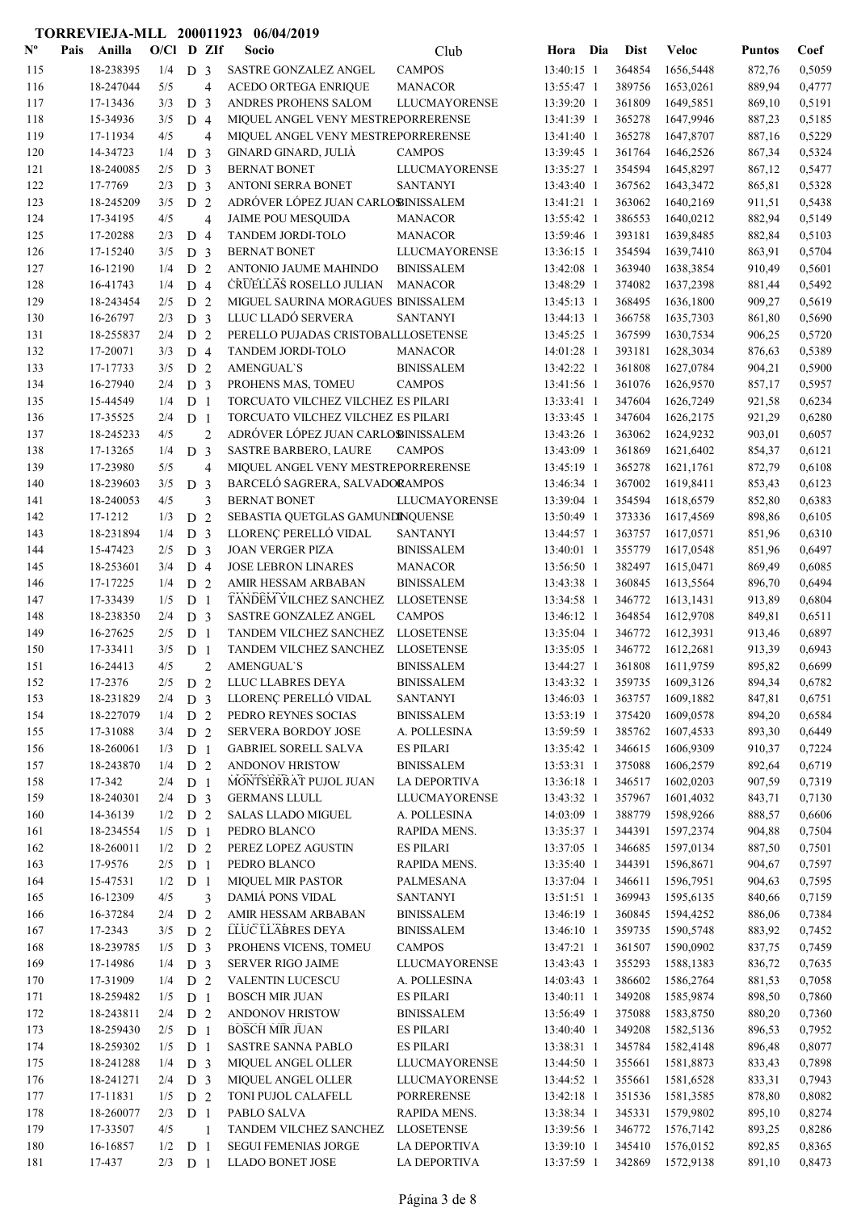| $\mathbf{N}^{\mathbf{o}}$ | Pais | Anilla                 | $O/CI$ D ZIf |                                  |                | Socio                                                              | Club                                     | Hora                     | Dia | <b>Dist</b>      | <b>Veloc</b>           | <b>Puntos</b>    | Coef             |
|---------------------------|------|------------------------|--------------|----------------------------------|----------------|--------------------------------------------------------------------|------------------------------------------|--------------------------|-----|------------------|------------------------|------------------|------------------|
| 115                       |      | 18-238395              | 1/4          | D <sub>3</sub>                   |                | SASTRE GONZALEZ ANGEL                                              | <b>CAMPOS</b>                            | 13:40:15 1               |     | 364854           | 1656,5448              | 872,76           | 0,5059           |
| 116                       |      | 18-247044              | 5/5          |                                  | $\overline{4}$ | <b>ACEDO ORTEGA ENRIQUE</b>                                        | <b>MANACOR</b>                           | 13:55:47 1               |     | 389756           | 1653,0261              | 889,94           | 0,4777           |
| 117                       |      | 17-13436               | 3/3          | D <sub>3</sub>                   |                | ANDRES PROHENS SALOM                                               | <b>LLUCMAYORENSE</b>                     | 13:39:20 1               |     | 361809           | 1649,5851              | 869,10           | 0,5191           |
| 118                       |      | 15-34936               | 3/5          | D <sub>4</sub>                   |                | MIQUEL ANGEL VENY MESTREPORRERENSE                                 |                                          | 13:41:39 1               |     | 365278           | 1647,9946              | 887,23           | 0,5185           |
| 119                       |      | 17-11934               | 4/5          |                                  | $\overline{4}$ | MIQUEL ANGEL VENY MESTREPORRERENSE                                 |                                          | 13:41:40 1               |     | 365278           | 1647,8707              | 887,16           | 0,5229           |
| 120                       |      | 14-34723<br>18-240085  | 1/4<br>2/5   | D <sub>3</sub>                   |                | GINARD GINARD, JULIÀ<br><b>BERNAT BONET</b>                        | <b>CAMPOS</b><br><b>LLUCMAYORENSE</b>    | 13:39:45 1<br>13:35:27 1 |     | 361764<br>354594 | 1646,2526<br>1645,8297 | 867,34           | 0,5324<br>0,5477 |
| 121<br>122                |      | 17-7769                | 2/3          | D <sub>3</sub><br>D <sub>3</sub> |                | ANTONI SERRA BONET                                                 | <b>SANTANYI</b>                          | 13:43:40 1               |     | 367562           | 1643,3472              | 867,12<br>865,81 | 0,5328           |
| 123                       |      | 18-245209              | 3/5          | D <sub>2</sub>                   |                | ADRÓVER LÓPEZ JUAN CARLOBINISSALEM                                 |                                          | 13:41:21 1               |     | 363062           | 1640,2169              | 911,51           | 0,5438           |
| 124                       |      | 17-34195               | 4/5          |                                  | $\overline{4}$ | <b>JAIME POU MESQUIDA</b>                                          | <b>MANACOR</b>                           | 13:55:42 1               |     | 386553           | 1640,0212              | 882,94           | 0,5149           |
| 125                       |      | 17-20288               | 2/3          | D 4                              |                | TANDEM JORDI-TOLO                                                  | <b>MANACOR</b>                           | 13:59:46 1               |     | 393181           | 1639,8485              | 882,84           | 0,5103           |
| 126                       |      | 17-15240               | 3/5          | D <sub>3</sub>                   |                | <b>BERNAT BONET</b>                                                | <b>LLUCMAYORENSE</b>                     | 13:36:15 1               |     | 354594           | 1639,7410              | 863,91           | 0,5704           |
| 127                       |      | 16-12190               | 1/4          | D <sub>2</sub>                   |                | ANTONIO JAUME MAHINDO                                              | <b>BINISSALEM</b>                        | 13:42:08 1               |     | 363940           | 1638,3854              | 910,49           | 0,5601           |
| 128                       |      | 16-41743               | 1/4          | D <sub>4</sub>                   |                | CRUELLAS ROSELLO JULIAN                                            | <b>MANACOR</b>                           | 13:48:29 1               |     | 374082           | 1637,2398              | 881,44           | 0,5492           |
| 129                       |      | 18-243454              | 2/5          | D <sub>2</sub>                   |                | MIGUEL SAURINA MORAGUES BINISSALEM                                 |                                          | 13:45:13 1               |     | 368495           | 1636,1800              | 909,27           | 0,5619           |
| 130                       |      | 16-26797               | 2/3          | D <sub>3</sub>                   |                | LLUC LLADÓ SERVERA                                                 | <b>SANTANYI</b>                          | 13:44:13 1               |     | 366758           | 1635,7303              | 861,80           | 0,5690           |
| 131                       |      | 18-255837              | 2/4          | D <sub>2</sub>                   |                | PERELLO PUJADAS CRISTOBALLLOSETENSE                                |                                          | 13:45:25 1               |     | 367599           | 1630,7534              | 906,25           | 0,5720           |
| 132                       |      | 17-20071               | 3/3          | D <sub>4</sub>                   |                | TANDEM JORDI-TOLO                                                  | <b>MANACOR</b>                           | 14:01:28 1               |     | 393181           | 1628,3034              | 876,63           | 0,5389           |
| 133                       |      | 17-17733               | 3/5          | D <sub>2</sub>                   |                | <b>AMENGUAL'S</b>                                                  | <b>BINISSALEM</b>                        | 13:42:22 1               |     | 361808           | 1627,0784              | 904,21           | 0,5900           |
| 134                       |      | 16-27940               | 2/4          | D <sub>3</sub>                   |                | PROHENS MAS, TOMEU                                                 | <b>CAMPOS</b>                            | 13:41:56 1               |     | 361076           | 1626,9570              | 857,17           | 0,5957           |
| 135                       |      | 15-44549               | 1/4          | D <sub>1</sub>                   |                | TORCUATO VILCHEZ VILCHEZ ES PILARI                                 |                                          | 13:33:41 1               |     | 347604           | 1626,7249              | 921,58           | 0,6234           |
| 136                       |      | 17-35525               | 2/4          | D <sub>1</sub>                   |                | TORCUATO VILCHEZ VILCHEZ ES PILARI                                 |                                          | 13:33:45 1               |     | 347604           | 1626,2175              | 921,29           | 0,6280           |
| 137                       |      | 18-245233              | 4/5          |                                  | $\overline{2}$ | ADRÓVER LÓPEZ JUAN CARLOBINISSALEM                                 |                                          | 13:43:26 1               |     | 363062           | 1624,9232              | 903,01           | 0,6057           |
| 138<br>139                |      | 17-13265<br>17-23980   | 1/4<br>5/5   | D <sub>3</sub>                   |                | <b>SASTRE BARBERO, LAURE</b><br>MIQUEL ANGEL VENY MESTREPORRERENSE | <b>CAMPOS</b>                            | 13:43:09 1<br>13:45:19 1 |     | 361869<br>365278 | 1621,6402<br>1621,1761 | 854,37           | 0,6121<br>0,6108 |
| 140                       |      | 18-239603              | 3/5          | D <sub>3</sub>                   | $\overline{4}$ | BARCELÓ SAGRERA, SALVADORAMPOS                                     |                                          | 13:46:34 1               |     | 367002           | 1619,8411              | 872,79<br>853,43 | 0,6123           |
| 141                       |      | 18-240053              | 4/5          |                                  | 3              | <b>BERNAT BONET</b>                                                | <b>LLUCMAYORENSE</b>                     | 13:39:04 1               |     | 354594           | 1618,6579              | 852,80           | 0,6383           |
| 142                       |      | 17-1212                | 1/3          | D <sub>2</sub>                   |                | SEBASTIA QUETGLAS GAMUNDINQUENSE                                   |                                          | 13:50:49 1               |     | 373336           | 1617,4569              | 898,86           | 0,6105           |
| 143                       |      | 18-231894              | 1/4          | D <sub>3</sub>                   |                | LLORENÇ PERELLÓ VIDAL                                              | <b>SANTANYI</b>                          | 13:44:57 1               |     | 363757           | 1617,0571              | 851,96           | 0,6310           |
| 144                       |      | 15-47423               | 2/5          | D <sub>3</sub>                   |                | <b>JOAN VERGER PIZA</b>                                            | <b>BINISSALEM</b>                        | 13:40:01 1               |     | 355779           | 1617,0548              | 851,96           | 0,6497           |
| 145                       |      | 18-253601              | 3/4          | D <sub>4</sub>                   |                | <b>JOSE LEBRON LINARES</b>                                         | <b>MANACOR</b>                           | 13:56:50 1               |     | 382497           | 1615,0471              | 869,49           | 0,6085           |
| 146                       |      | 17-17225               | 1/4          | D <sub>2</sub>                   |                | AMIR HESSAM ARBABAN                                                | <b>BINISSALEM</b>                        | 13:43:38 1               |     | 360845           | 1613,5564              | 896,70           | 0,6494           |
| 147                       |      | 17-33439               | 1/5          | D <sub>1</sub>                   |                | TANDEM VILCHEZ SANCHEZ                                             | <b>LLOSETENSE</b>                        | 13:34:58 1               |     | 346772           | 1613,1431              | 913,89           | 0,6804           |
| 148                       |      | 18-238350              | 2/4          | D <sub>3</sub>                   |                | SASTRE GONZALEZ ANGEL                                              | <b>CAMPOS</b>                            | 13:46:12 1               |     | 364854           | 1612,9708              | 849,81           | 0,6511           |
| 149                       |      | 16-27625               | 2/5          | D <sub>1</sub>                   |                | TANDEM VILCHEZ SANCHEZ                                             | <b>LLOSETENSE</b>                        | 13:35:04 1               |     | 346772           | 1612,3931              | 913,46           | 0,6897           |
| 150                       |      | 17-33411               | 3/5          | D <sub>1</sub>                   |                | TANDEM VILCHEZ SANCHEZ                                             | <b>LLOSETENSE</b>                        | 13:35:05 1               |     | 346772           | 1612,2681              | 913,39           | 0,6943           |
| 151                       |      | 16-24413               | 4/5          |                                  | $\overline{2}$ | <b>AMENGUAL'S</b>                                                  | <b>BINISSALEM</b>                        | 13:44:27 1               |     | 361808           | 1611,9759              | 895,82           | 0,6699           |
| 152                       |      | 17-2376                | 2/5          | D <sub>2</sub>                   |                | LLUC LLABRES DEYA                                                  | <b>BINISSALEM</b>                        | 13:43:32 1               |     | 359735           | 1609,3126              | 894,34           | 0,6782           |
| 153                       |      | 18-231829              | 2/4          | D <sub>3</sub>                   |                | LLORENÇ PERELLÓ VIDAL                                              | <b>SANTANYI</b>                          | 13:46:03 1               |     | 363757           | 1609,1882              | 847,81           | 0,6751           |
| 154                       |      | 18-227079              | 1/4          | D <sub>2</sub>                   |                | PEDRO REYNES SOCIAS                                                | <b>BINISSALEM</b>                        | 13:53:19 1               |     | 375420           | 1609,0578              | 894,20           | 0,6584           |
| 155                       |      | 17-31088               | 3/4          | D 2                              |                | <b>SERVERA BORDOY JOSE</b>                                         | A. POLLESINA                             | 13:59:59 1               |     | 385762           | 1607,4533              | 893,30           | 0,6449           |
| 156                       |      | 18-260061              | 1/3          | D <sub>1</sub>                   |                | <b>GABRIEL SORELL SALVA</b>                                        | <b>ES PILARI</b>                         | 13:35:42 1               |     | 346615           | 1606,9309              | 910,37           | 0,7224           |
| 157                       |      | 18-243870<br>17-342    | 1/4          | D <sub>2</sub>                   |                | ANDONOV HRISTOW<br>MONTSERRAT PUJOL JUAN                           | <b>BINISSALEM</b><br><b>LA DEPORTIVA</b> | 13:53:31 1               |     | 375088<br>346517 | 1606,2579              | 892,64           | 0,6719           |
| 158<br>159                |      | 18-240301              | 2/4<br>2/4   | D <sub>1</sub><br>D <sub>3</sub> |                | <b>GERMANS LLULL</b>                                               | <b>LLUCMAYORENSE</b>                     | 13:36:18 1<br>13:43:32 1 |     | 357967           | 1602,0203<br>1601,4032 | 907,59<br>843,71 | 0,7319<br>0,7130 |
| 160                       |      | 14-36139               | 1/2          | D <sub>2</sub>                   |                | <b>SALAS LLADO MIGUEL</b>                                          | A. POLLESINA                             | 14:03:09 1               |     | 388779           | 1598,9266              | 888,57           | 0,6606           |
| 161                       |      | 18-234554              | 1/5          | D <sub>1</sub>                   |                | PEDRO BLANCO                                                       | RAPIDA MENS.                             | 13:35:37 1               |     | 344391           | 1597,2374              | 904,88           | 0,7504           |
| 162                       |      | 18-260011              | 1/2          | D 2                              |                | PEREZ LOPEZ AGUSTIN                                                | <b>ES PILARI</b>                         | 13:37:05 1               |     | 346685           | 1597,0134              | 887,50           | 0,7501           |
| 163                       |      | 17-9576                | 2/5          | D <sub>1</sub>                   |                | PEDRO BLANCO                                                       | RAPIDA MENS.                             | 13:35:40 1               |     | 344391           | 1596,8671              | 904,67           | 0,7597           |
| 164                       |      | 15-47531               | 1/2          | D <sub>1</sub>                   |                | <b>MIQUEL MIR PASTOR</b>                                           | PALMESANA                                | 13:37:04 1               |     | 346611           | 1596,7951              | 904,63           | 0,7595           |
| 165                       |      | 16-12309               | 4/5          |                                  | 3              | DAMIÁ PONS VIDAL                                                   | <b>SANTANYI</b>                          | 13:51:51 1               |     | 369943           | 1595,6135              | 840,66           | 0,7159           |
| 166                       |      | 16-37284               | 2/4          | D <sub>2</sub>                   |                | AMIR HESSAM ARBABAN                                                | <b>BINISSALEM</b>                        | 13:46:19 1               |     | 360845           | 1594,4252              | 886,06           | 0,7384           |
| 167                       |      | 17-2343                | 3/5          | D 2                              |                | LLUC LLABRES DEYA                                                  | <b>BINISSALEM</b>                        | 13:46:10 1               |     | 359735           | 1590,5748              | 883,92           | 0,7452           |
| 168                       |      | 18-239785              | 1/5          | D <sub>3</sub>                   |                | PROHENS VICENS, TOMEU                                              | <b>CAMPOS</b>                            | 13:47:21 1               |     | 361507           | 1590,0902              | 837,75           | 0,7459           |
| 169                       |      | 17-14986               | 1/4          | D <sub>3</sub>                   |                | <b>SERVER RIGO JAIME</b>                                           | LLUCMAYORENSE                            | 13:43:43 1               |     | 355293           | 1588,1383              | 836,72           | 0,7635           |
| 170                       |      | 17-31909               | 1/4          | D <sub>2</sub>                   |                | <b>VALENTIN LUCESCU</b>                                            | A. POLLESINA                             | $14:03:43$ 1             |     | 386602           | 1586,2764              | 881,53           | 0,7058           |
| 171                       |      | 18-259482              | 1/5          | D <sub>1</sub>                   |                | <b>BOSCH MIR JUAN</b>                                              | <b>ES PILARI</b>                         | 13:40:11 1               |     | 349208           | 1585,9874              | 898,50           | 0,7860           |
| 172                       |      | 18-243811              | 2/4          | D <sub>2</sub>                   |                | ANDONOV HRISTOW                                                    | <b>BINISSALEM</b>                        | 13:56:49 1               |     | 375088           | 1583,8750              | 880,20           | 0,7360           |
| 173                       |      | 18-259430<br>18-259302 | 2/5          | D <sub>1</sub>                   |                | <b>BOSCH MIR JUAN</b><br>SASTRE SANNA PABLO                        | <b>ES PILARI</b><br><b>ES PILARI</b>     | 13:40:40 1               |     | 349208<br>345784 | 1582,5136              | 896,53           | 0,7952<br>0,8077 |
| 174<br>175                |      | 18-241288              | 1/5<br>1/4   | D <sub>1</sub><br>D <sub>3</sub> |                | MIQUEL ANGEL OLLER                                                 | <b>LLUCMAYORENSE</b>                     | 13:38:31 1<br>13:44:50 1 |     | 355661           | 1582,4148<br>1581,8873 | 896,48<br>833,43 | 0,7898           |
| 176                       |      | 18-241271              | 2/4          | D <sub>3</sub>                   |                | MIQUEL ANGEL OLLER                                                 | LLUCMAYORENSE                            | 13:44:52 1               |     | 355661           | 1581,6528              | 833,31           | 0,7943           |
| 177                       |      | 17-11831               | 1/5          | D <sub>2</sub>                   |                | TONI PUJOL CALAFELL                                                | <b>PORRERENSE</b>                        | 13:42:18 1               |     | 351536           | 1581,3585              | 878,80           | 0,8082           |
| 178                       |      | 18-260077              | 2/3          | D <sub>1</sub>                   |                | PABLO SALVA                                                        | RAPIDA MENS.                             | 13:38:34 1               |     | 345331           | 1579,9802              | 895,10           | 0,8274           |
| 179                       |      | 17-33507               | 4/5          |                                  | $\overline{1}$ | TANDEM VILCHEZ SANCHEZ                                             | <b>LLOSETENSE</b>                        | 13:39:56 1               |     | 346772           | 1576,7142              | 893,25           | 0,8286           |
| 180                       |      | 16-16857               | 1/2          | D <sub>1</sub>                   |                | <b>SEGUI FEMENIAS JORGE</b>                                        | LA DEPORTIVA                             | 13:39:10 1               |     | 345410           | 1576,0152              | 892,85           | 0,8365           |
| 181                       |      | 17-437                 | $2/3$ D 1    |                                  |                | LLADO BONET JOSE                                                   | <b>LA DEPORTIVA</b>                      | 13:37:59 1               |     | 342869           | 1572,9138              | 891,10           | 0,8473           |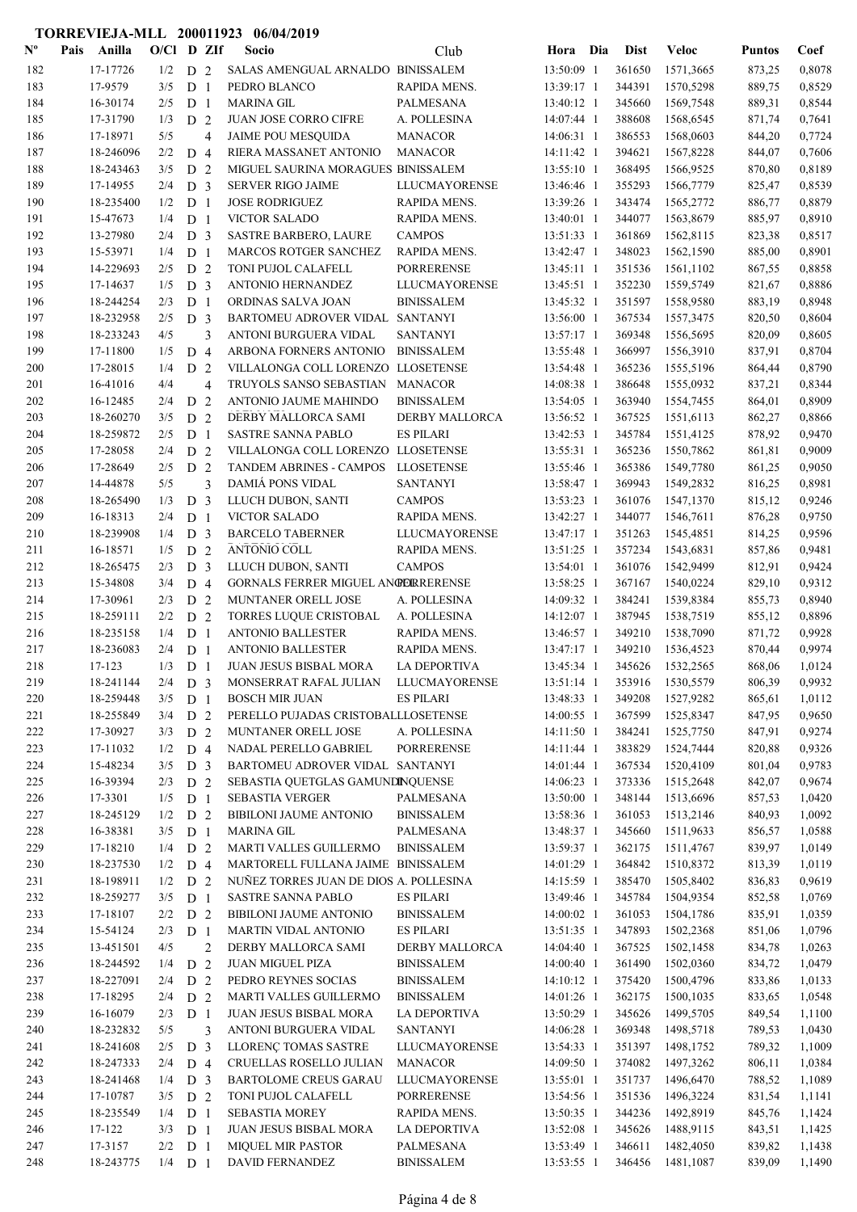| $\mathbf{N}^{\mathbf{o}}$ | Pais | Anilla                | $O/C1$ D ZIf |                                  |                | Socio                                                           | Club                                  | Hora Dia                 | <b>Dist</b>      | <b>Veloc</b>           | <b>Puntos</b>    | Coef             |
|---------------------------|------|-----------------------|--------------|----------------------------------|----------------|-----------------------------------------------------------------|---------------------------------------|--------------------------|------------------|------------------------|------------------|------------------|
| 182                       |      | 17-17726              | 1/2          | D 2                              |                | SALAS AMENGUAL ARNALDO BINISSALEM                               |                                       | 13:50:09 1               | 361650           | 1571,3665              | 873,25           | 0,8078           |
| 183                       |      | 17-9579               | 3/5          | D <sub>1</sub>                   |                | PEDRO BLANCO                                                    | RAPIDA MENS.                          | 13:39:17 1               | 344391           | 1570.5298              | 889,75           | 0,8529           |
| 184                       |      | 16-30174              | 2/5          | D <sub>1</sub>                   |                | MARINA GIL                                                      | <b>PALMESANA</b>                      | 13:40:12 1               | 345660           | 1569,7548              | 889,31           | 0,8544           |
| 185                       |      | 17-31790              | 1/3          | D <sub>2</sub>                   |                | JUAN JOSE CORRO CIFRE                                           | A. POLLESINA                          | 14:07:44 1               | 388608           | 1568,6545              | 871,74           | 0,7641           |
| 186                       |      | 17-18971              | 5/5          |                                  | $\overline{4}$ | <b>JAIME POU MESQUIDA</b>                                       | <b>MANACOR</b>                        | 14:06:31 1               | 386553           | 1568,0603              | 844,20           | 0,7724           |
| 187                       |      | 18-246096             | 2/2          | D <sub>4</sub>                   |                | RIERA MASSANET ANTONIO                                          | <b>MANACOR</b>                        | 14:11:42 1               | 394621           | 1567,8228              | 844,07           | 0,7606           |
| 188                       |      | 18-243463             | 3/5          | D <sub>2</sub>                   |                | MIGUEL SAURINA MORAGUES BINISSALEM                              |                                       | 13:55:10 1               | 368495           | 1566,9525              | 870,80           | 0,8189           |
| 189                       |      | 17-14955<br>18-235400 | 2/4          | D <sub>3</sub>                   |                | <b>SERVER RIGO JAIME</b><br><b>JOSE RODRIGUEZ</b>               | LLUCMAYORENSE                         | 13:46:46 1<br>13:39:26 1 | 355293           | 1566,7779<br>1565,2772 | 825,47           | 0.8539<br>0,8879 |
| 190<br>191                |      | 15-47673              | 1/2<br>1/4   | D <sub>1</sub><br>D <sub>1</sub> |                | <b>VICTOR SALADO</b>                                            | RAPIDA MENS.<br>RAPIDA MENS.          | 13:40:01 1               | 343474<br>344077 | 1563,8679              | 886,77<br>885,97 | 0,8910           |
| 192                       |      | 13-27980              | 2/4          | D <sub>3</sub>                   |                | <b>SASTRE BARBERO, LAURE</b>                                    | <b>CAMPOS</b>                         | 13:51:33 1               | 361869           | 1562,8115              | 823,38           | 0,8517           |
| 193                       |      | 15-53971              | 1/4          | D <sub>1</sub>                   |                | MARCOS ROTGER SANCHEZ                                           | RAPIDA MENS.                          | 13:42:47 1               | 348023           | 1562,1590              | 885,00           | 0,8901           |
| 194                       |      | 14-229693             | 2/5          | D <sub>2</sub>                   |                | TONI PUJOL CALAFELL                                             | <b>PORRERENSE</b>                     | 13:45:11 1               | 351536           | 1561,1102              | 867,55           | 0,8858           |
| 195                       |      | 17-14637              | 1/5          | D <sub>3</sub>                   |                | ANTONIO HERNANDEZ                                               | LLUCMAYORENSE                         | 13:45:51 1               | 352230           | 1559,5749              | 821,67           | 0,8886           |
| 196                       |      | 18-244254             | 2/3          | D <sub>1</sub>                   |                | ORDINAS SALVA JOAN                                              | <b>BINISSALEM</b>                     | 13:45:32 1               | 351597           | 1558,9580              | 883,19           | 0,8948           |
| 197                       |      | 18-232958             | 2/5          | D <sub>3</sub>                   |                | BARTOMEU ADROVER VIDAL SANTANYI                                 |                                       | 13:56:00 1               | 367534           | 1557,3475              | 820,50           | 0,8604           |
| 198                       |      | 18-233243             | 4/5          |                                  | 3              | ANTONI BURGUERA VIDAL                                           | <b>SANTANYI</b>                       | 13:57:17 1               | 369348           | 1556,5695              | 820,09           | 0,8605           |
| 199                       |      | 17-11800              | 1/5          | D <sub>4</sub>                   |                | ARBONA FORNERS ANTONIO                                          | <b>BINISSALEM</b>                     | 13:55:48 1               | 366997           | 1556,3910              | 837,91           | 0,8704           |
| 200                       |      | 17-28015              | 1/4          | D <sub>2</sub>                   |                | VILLALONGA COLL LORENZO LLOSETENSE                              |                                       | 13:54:48 1               | 365236           | 1555,5196              | 864,44           | 0,8790           |
| 201                       |      | 16-41016              | 4/4          |                                  | $\overline{4}$ | TRUYOLS SANSO SEBASTIAN                                         | <b>MANACOR</b>                        | 14:08:38 1               | 386648           | 1555,0932              | 837,21           | 0,8344           |
| 202                       |      | 16-12485              | 2/4          | D <sub>2</sub>                   |                | ANTONIO JAUME MAHINDO                                           | <b>BINISSALEM</b>                     | 13:54:05 1               | 363940           | 1554,7455              | 864,01           | 0,8909           |
| 203                       |      | 18-260270             | 3/5          | D <sub>2</sub>                   |                | DERBY MALLORCA SAMI                                             | <b>DERBY MALLORCA</b>                 | 13:56:52 1               | 367525           | 1551,6113              | 862,27           | 0,8866           |
| 204                       |      | 18-259872             | 2/5          | D <sub>1</sub>                   |                | <b>SASTRE SANNA PABLO</b>                                       | <b>ES PILARI</b>                      | 13:42:53 1               | 345784           | 1551,4125              | 878,92           | 0,9470           |
| 205                       |      | 17-28058              | 2/4          | D <sub>2</sub>                   |                | VILLALONGA COLL LORENZO LLOSETENSE                              |                                       | 13:55:31 1               | 365236           | 1550,7862              | 861,81           | 0,9009           |
| 206                       |      | 17-28649              | 2/5          | D <sub>2</sub>                   |                | TANDEM ABRINES - CAMPOS                                         | <b>LLOSETENSE</b>                     | 13:55:46 1               | 365386           | 1549,7780              | 861,25           | 0,9050           |
| 207                       |      | 14-44878              | 5/5          |                                  | 3              | <b>DAMIA PONS VIDAL</b>                                         | <b>SANTANYI</b>                       | 13:58:47 1               | 369943           | 1549,2832              | 816,25           | 0,8981           |
| 208                       |      | 18-265490             | 1/3          | D <sub>3</sub>                   |                | LLUCH DUBON, SANTI                                              | <b>CAMPOS</b>                         | 13:53:23 1               | 361076           | 1547,1370              | 815,12           | 0,9246           |
| 209                       |      | 16-18313              | 2/4          | D <sub>1</sub>                   |                | <b>VICTOR SALADO</b>                                            | RAPIDA MENS.                          | 13:42:27 1               | 344077           | 1546,7611              | 876,28           | 0,9750           |
| 210                       |      | 18-239908             | 1/4          | D <sub>3</sub>                   |                | <b>BARCELO TABERNER</b>                                         | <b>LLUCMAYORENSE</b>                  | 13:47:17 1               | 351263           | 1545,4851              | 814,25           | 0,9596           |
| 211                       |      | 16-18571              | 1/5          | D <sub>2</sub>                   |                | ANTONIO COLL                                                    | RAPIDA MENS.                          | 13:51:25 1               | 357234           | 1543,6831              | 857,86           | 0,9481           |
| 212<br>213                |      | 18-265475<br>15-34808 | 2/3<br>3/4   | D <sub>3</sub><br>D <sub>4</sub> |                | LLUCH DUBON, SANTI<br><b>GORNALS FERRER MIGUEL ANGERRERENSE</b> | <b>CAMPOS</b>                         | 13:54:01 1<br>13:58:25 1 | 361076<br>367167 | 1542,9499              | 812,91<br>829,10 | 0,9424<br>0,9312 |
| 214                       |      | 17-30961              | 2/3          | D <sub>2</sub>                   |                | MUNTANER ORELL JOSE                                             | A. POLLESINA                          | 14:09:32 1               | 384241           | 1540,0224<br>1539,8384 | 855,73           | 0.8940           |
| 215                       |      | 18-259111             | 2/2          | D <sub>2</sub>                   |                | TORRES LUQUE CRISTOBAL                                          | A. POLLESINA                          | 14:12:07 1               | 387945           | 1538,7519              | 855,12           | 0,8896           |
| 216                       |      | 18-235158             | 1/4          | D <sub>1</sub>                   |                | <b>ANTONIO BALLESTER</b>                                        | <b>RAPIDA MENS.</b>                   | 13:46:57 1               | 349210           | 1538,7090              | 871,72           | 0,9928           |
| 217                       |      | 18-236083             | 2/4          | D <sub>1</sub>                   |                | <b>ANTONIO BALLESTER</b>                                        | RAPIDA MENS.                          | 13:47:17 1               | 349210           | 1536,4523              | 870,44           | 0,9974           |
| 218                       |      | 17-123                | 1/3          | D <sub>1</sub>                   |                | JUAN JESUS BISBAL MORA                                          | <b>LA DEPORTIVA</b>                   | 13:45:34 1               | 345626           | 1532,2565              | 868,06           | 1,0124           |
| 219                       |      | 18-241144             | 2/4          | D <sub>3</sub>                   |                | MONSERRAT RAFAL JULIAN                                          | LLUCMAYORENSE                         | 13:51:14 1               | 353916           | 1530,5579              | 806,39           | 0,9932           |
| 220                       |      | 18-259448             | 3/5          | D <sub>1</sub>                   |                | <b>BOSCH MIR JUAN</b>                                           | <b>ES PILARI</b>                      | 13:48:33 1               | 349208           | 1527,9282              | 865,61           | 1,0112           |
| 221                       |      | 18-255849             | 3/4          | D <sub>2</sub>                   |                | PERELLO PUJADAS CRISTOBALLLOSETENSE                             |                                       | 14:00:55 1               | 367599           | 1525,8347              | 847,95           | 0,9650           |
| 222                       |      | 17-30927              | 3/3          | D <sub>2</sub>                   |                | MUNTANER ORELL JOSE                                             | A. POLLESINA                          | 14:11:50 1               | 384241           | 1525,7750              | 847,91           | 0,9274           |
| 223                       |      | 17-11032              | 1/2          | D 4                              |                | NADAL PERELLO GABRIEL                                           | <b>PORRERENSE</b>                     | 14:11:44 1               | 383829           | 1524,7444              | 820,88           | 0,9326           |
| 224                       |      | 15-48234              | 3/5          | D <sub>3</sub>                   |                | BARTOMEU ADROVER VIDAL SANTANYI                                 |                                       | 14:01:44 1               | 367534           | 1520,4109              | 801,04           | 0,9783           |
| 225                       |      | 16-39394              | 2/3          | D <sub>2</sub>                   |                | SEBASTIA QUETGLAS GAMUNDINQUENSE                                |                                       | 14:06:23 1               | 373336           | 1515,2648              | 842,07           | 0,9674           |
| 226                       |      | 17-3301               | 1/5          | D <sub>1</sub>                   |                | <b>SEBASTIA VERGER</b>                                          | PALMESANA                             | 13:50:00 1               | 348144           | 1513,6696              | 857,53           | 1,0420           |
| 227                       |      | 18-245129             | 1/2          | D <sub>2</sub>                   |                | BIBILONI JAUME ANTONIO                                          | <b>BINISSALEM</b>                     | 13:58:36 1               | 361053           | 1513,2146              | 840,93           | 1,0092           |
| 228                       |      | 16-38381              | 3/5          | D <sub>1</sub>                   |                | <b>MARINA GIL</b>                                               | PALMESANA                             | 13:48:37 1               | 345660           | 1511,9633              | 856,57           | 1,0588           |
| 229                       |      | 17-18210              | 1/4          | D <sub>2</sub>                   |                | MARTI VALLES GUILLERMO                                          | <b>BINISSALEM</b>                     | 13:59:37 1               | 362175           | 1511,4767              | 839,97           | 1,0149           |
| 230                       |      | 18-237530             | 1/2          | D <sub>4</sub>                   |                | MARTORELL FULLANA JAIME BINISSALEM                              |                                       | 14:01:29 1               | 364842           | 1510,8372              | 813,39           | 1,0119           |
| 231                       |      | 18-198911             | 1/2          | D <sub>2</sub>                   |                | NUÑEZ TORRES JUAN DE DIOS A. POLLESINA                          |                                       | 14:15:59 1               | 385470           | 1505,8402              | 836,83           | 0,9619           |
| 232                       |      | 18-259277             | 3/5          | D <sub>1</sub>                   |                | <b>SASTRE SANNA PABLO</b>                                       | <b>ES PILARI</b>                      | 13:49:46 1               | 345784           | 1504,9354              | 852,58           | 1,0769           |
| 233<br>234                |      | 17-18107<br>15-54124  | 2/2<br>2/3   | D <sub>2</sub><br>D <sub>1</sub> |                | BIBILONI JAUME ANTONIO<br><b>MARTIN VIDAL ANTONIO</b>           | <b>BINISSALEM</b><br><b>ES PILARI</b> | 14:00:02 1<br>13:51:35 1 | 361053<br>347893 | 1504,1786<br>1502,2368 | 835,91<br>851,06 | 1,0359<br>1,0796 |
| 235                       |      | 13-451501             | 4/5          |                                  | $\overline{2}$ | DERBY MALLORCA SAMI                                             | <b>DERBY MALLORCA</b>                 | 14:04:40 1               | 367525           | 1502,1458              | 834,78           | 1,0263           |
| 236                       |      | 18-244592             | 1/4          | D <sub>2</sub>                   |                | <b>JUAN MIGUEL PIZA</b>                                         | <b>BINISSALEM</b>                     | 14:00:40 1               | 361490           | 1502,0360              | 834,72           | 1,0479           |
| 237                       |      | 18-227091             | 2/4          | D <sub>2</sub>                   |                | PEDRO REYNES SOCIAS                                             | <b>BINISSALEM</b>                     | 14:10:12 1               | 375420           | 1500,4796              | 833,86           | 1,0133           |
| 238                       |      | 17-18295              | 2/4          | D <sub>2</sub>                   |                | <b>MARTI VALLES GUILLERMO</b>                                   | <b>BINISSALEM</b>                     | 14:01:26 1               | 362175           | 1500,1035              | 833,65           | 1,0548           |
| 239                       |      | 16-16079              | 2/3          | D <sub>1</sub>                   |                | JUAN JESUS BISBAL MORA                                          | LA DEPORTIVA                          | 13:50:29 1               | 345626           | 1499,5705              | 849,54           | 1,1100           |
| 240                       |      | 18-232832             | 5/5          |                                  | 3              | ANTONI BURGUERA VIDAL                                           | <b>SANTANYI</b>                       | 14:06:28 1               | 369348           | 1498,5718              | 789,53           | 1,0430           |
| 241                       |      | 18-241608             | 2/5          | D <sub>3</sub>                   |                | LLORENÇ TOMAS SASTRE                                            | LLUCMAYORENSE                         | 13:54:33 1               | 351397           | 1498,1752              | 789,32           | 1,1009           |
| 242                       |      | 18-247333             | 2/4          | D 4                              |                | CRUELLAS ROSELLO JULIAN                                         | <b>MANACOR</b>                        | 14:09:50 1               | 374082           | 1497,3262              | 806,11           | 1,0384           |
| 243                       |      | 18-241468             | 1/4          | D <sub>3</sub>                   |                | <b>BARTOLOME CREUS GARAU</b>                                    | LLUCMAYORENSE                         | 13:55:01 1               | 351737           | 1496,6470              | 788,52           | 1,1089           |
| 244                       |      | 17-10787              | 3/5          | D 2                              |                | TONI PUJOL CALAFELL                                             | <b>PORRERENSE</b>                     | 13:54:56 1               | 351536           | 1496,3224              | 831,54           | 1,1141           |
| 245                       |      | 18-235549             | 1/4          | D <sub>1</sub>                   |                | <b>SEBASTIA MOREY</b>                                           | RAPIDA MENS.                          | 13:50:35 1               | 344236           | 1492,8919              | 845,76           | 1,1424           |
| 246                       |      | 17-122                | 3/3          | D <sub>1</sub>                   |                | JUAN JESUS BISBAL MORA                                          | LA DEPORTIVA                          | 13:52:08 1               | 345626           | 1488,9115              | 843,51           | 1,1425           |
| 247                       |      | 17-3157               | 2/2          | D <sub>1</sub>                   |                | <b>MIQUEL MIR PASTOR</b>                                        | PALMESANA                             | 13:53:49 1               | 346611           | 1482,4050              | 839,82           | 1,1438           |
| 248                       |      | 18-243775             | $1/4$ D 1    |                                  |                | DAVID FERNANDEZ                                                 | <b>BINISSALEM</b>                     | 13:53:55 1               | 346456           | 1481,1087              | 839,09           | 1,1490           |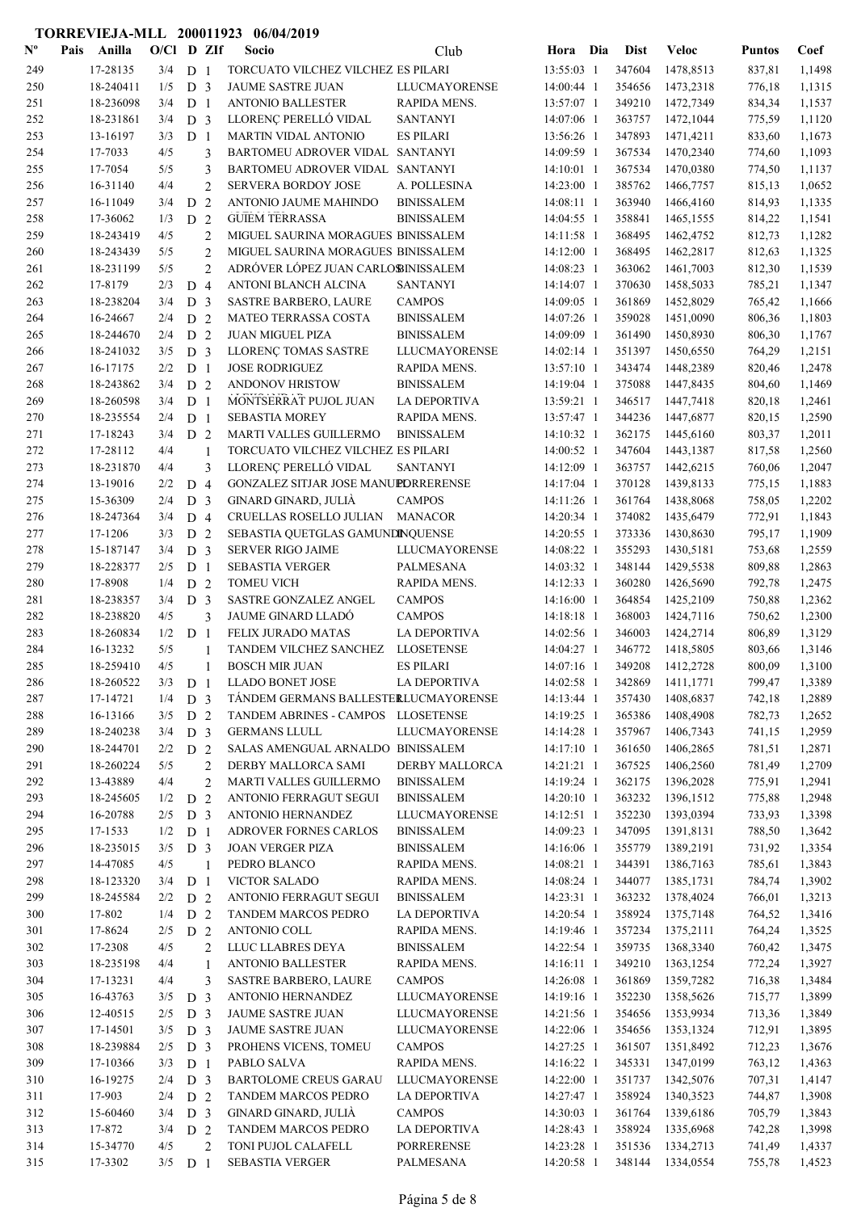| $\mathbf{N}^{\mathbf{o}}$ | Pais | Anilla                | $O/C1$ D ZIf |                                  |                     | Socio                                                         | Club                              | Hora                     | Dia | <b>Dist</b>      | <b>Veloc</b>           | <b>Puntos</b>    | Coef             |
|---------------------------|------|-----------------------|--------------|----------------------------------|---------------------|---------------------------------------------------------------|-----------------------------------|--------------------------|-----|------------------|------------------------|------------------|------------------|
| 249                       |      | 17-28135              | 3/4          | D <sub>1</sub>                   |                     | TORCUATO VILCHEZ VILCHEZ ES PILARI                            |                                   | 13:55:03 1               |     | 347604           | 1478,8513              | 837,81           | 1,1498           |
| 250                       |      | 18-240411             | 1/5          | D <sub>3</sub>                   |                     | <b>JAUME SASTRE JUAN</b>                                      | LLUCMAYORENSE                     | 14:00:44 1               |     | 354656           | 1473,2318              | 776,18           | 1,1315           |
| 251                       |      | 18-236098             | 3/4          | D <sub>1</sub>                   |                     | <b>ANTONIO BALLESTER</b>                                      | RAPIDA MENS.                      | 13:57:07 1               |     | 349210           | 1472,7349              | 834,34           | 1,1537           |
| 252                       |      | 18-231861             | 3/4          | D <sub>3</sub>                   |                     | LLORENÇ PERELLÓ VIDAL                                         | <b>SANTANYI</b>                   | 14:07:06 1               |     | 363757           | 1472,1044              | 775,59           | 1,1120           |
| 253                       |      | 13-16197              | 3/3          | D <sub>1</sub>                   |                     | MARTIN VIDAL ANTONIO                                          | <b>ES PILARI</b>                  | 13:56:26 1               |     | 347893           | 1471,4211              | 833,60           | 1,1673           |
| 254                       |      | 17-7033               | 4/5          |                                  | 3                   | BARTOMEU ADROVER VIDAL SANTANYI                               |                                   | 14:09:59 1               |     | 367534           | 1470,2340              | 774,60           | 1,1093           |
| 255                       |      | 17-7054               | 5/5          |                                  | 3                   | BARTOMEU ADROVER VIDAL SANTANYI<br><b>SERVERA BORDOY JOSE</b> |                                   | 14:10:01 1               |     | 367534<br>385762 | 1470,0380              | 774,50           | 1,1137           |
| 256<br>257                |      | 16-31140<br>16-11049  | 4/4<br>3/4   | D                                | $\overline{2}$<br>2 | ANTONIO JAUME MAHINDO                                         | A. POLLESINA<br><b>BINISSALEM</b> | 14:23:00 1<br>14:08:11 1 |     | 363940           | 1466,7757<br>1466,4160 | 815,13<br>814,93 | 1,0652<br>1,1335 |
| 258                       |      | 17-36062              | 1/3          | D 2                              |                     | <b>GUIEM TERRASSA</b>                                         | <b>BINISSALEM</b>                 | 14:04:55 1               |     | 358841           | 1465,1555              | 814,22           | 1,1541           |
| 259                       |      | 18-243419             | 4/5          |                                  | $\overline{2}$      | MIGUEL SAURINA MORAGUES BINISSALEM                            |                                   | 14:11:58 1               |     | 368495           | 1462,4752              | 812,73           | 1,1282           |
| 260                       |      | 18-243439             | 5/5          |                                  | $\overline{2}$      | MIGUEL SAURINA MORAGUES BINISSALEM                            |                                   | 14:12:00 1               |     | 368495           | 1462,2817              | 812,63           | 1,1325           |
| 261                       |      | 18-231199             | 5/5          |                                  | $\overline{2}$      | ADRÓVER LÓPEZ JUAN CARLOBINISSALEM                            |                                   | 14:08:23 1               |     | 363062           | 1461,7003              | 812,30           | 1,1539           |
| 262                       |      | 17-8179               | 2/3          | D <sub>4</sub>                   |                     | ANTONI BLANCH ALCINA                                          | <b>SANTANYI</b>                   | 14:14:07 1               |     | 370630           | 1458,5033              | 785,21           | 1,1347           |
| 263                       |      | 18-238204             | 3/4          | D <sub>3</sub>                   |                     | <b>SASTRE BARBERO, LAURE</b>                                  | <b>CAMPOS</b>                     | 14:09:05 1               |     | 361869           | 1452,8029              | 765,42           | 1,1666           |
| 264                       |      | 16-24667              | 2/4          | D <sub>2</sub>                   |                     | MATEO TERRASSA COSTA                                          | <b>BINISSALEM</b>                 | 14:07:26 1               |     | 359028           | 1451,0090              | 806,36           | 1,1803           |
| 265                       |      | 18-244670             | 2/4          | D <sub>2</sub>                   |                     | <b>JUAN MIGUEL PIZA</b>                                       | <b>BINISSALEM</b>                 | 14:09:09 1               |     | 361490           | 1450,8930              | 806,30           | 1,1767           |
| 266                       |      | 18-241032             | 3/5          | D <sub>3</sub>                   |                     | LLORENÇ TOMAS SASTRE                                          | LLUCMAYORENSE                     | 14:02:14 1               |     | 351397           | 1450,6550              | 764,29           | 1,2151           |
| 267                       |      | 16-17175              | 2/2          | D <sub>1</sub>                   |                     | <b>JOSE RODRIGUEZ</b>                                         | <b>RAPIDA MENS.</b>               | 13:57:10 1               |     | 343474           | 1448,2389              | 820,46           | 1,2478           |
| 268                       |      | 18-243862             | 3/4          | D <sub>2</sub>                   |                     | <b>ANDONOV HRISTOW</b>                                        | <b>BINISSALEM</b>                 | 14:19:04 1               |     | 375088           | 1447,8435              | 804,60           | 1,1469           |
| 269                       |      | 18-260598             | 3/4          | D <sub>1</sub>                   |                     | MONTSERRAT PUJOL JUAN                                         | <b>LA DEPORTIVA</b>               | 13:59:21 1               |     | 346517           | 1447,7418              | 820,18           | 1,2461           |
| 270                       |      | 18-235554             | 2/4          | D <sub>1</sub>                   |                     | <b>SEBASTIA MOREY</b>                                         | RAPIDA MENS.                      | 13:57:47 1               |     | 344236           | 1447,6877              | 820,15           | 1,2590           |
| 271                       |      | 17-18243              | 3/4          | D <sub>2</sub>                   |                     | MARTI VALLES GUILLERMO                                        | <b>BINISSALEM</b>                 | 14:10:32 1               |     | 362175           | 1445,6160              | 803,37           | 1,2011           |
| 272                       |      | 17-28112<br>18-231870 | 4/4<br>4/4   |                                  | 1<br>3              | TORCUATO VILCHEZ VILCHEZ ES PILARI<br>LLORENÇ PERELLÓ VIDAL   | <b>SANTANYI</b>                   | 14:00:52 1<br>14:12:09 1 |     | 347604<br>363757 | 1443,1387<br>1442,6215 | 817,58           | 1,2560<br>1,2047 |
| 273<br>274                |      | 13-19016              | 2/2          | D 4                              |                     | GONZALEZ SITJAR JOSE MANUPDRRERENSE                           |                                   | 14:17:04 1               |     | 370128           | 1439,8133              | 760,06<br>775,15 | 1,1883           |
| 275                       |      | 15-36309              | 2/4          | D <sub>3</sub>                   |                     | GINARD GINARD, JULIÀ                                          | <b>CAMPOS</b>                     | 14:11:26 1               |     | 361764           | 1438,8068              | 758,05           | 1,2202           |
| 276                       |      | 18-247364             | 3/4          | D <sub>4</sub>                   |                     | CRUELLAS ROSELLO JULIAN                                       | <b>MANACOR</b>                    | 14:20:34 1               |     | 374082           | 1435,6479              | 772,91           | 1,1843           |
| 277                       |      | 17-1206               | 3/3          | D <sub>2</sub>                   |                     | SEBASTIA QUETGLAS GAMUNDINQUENSE                              |                                   | 14:20:55 1               |     | 373336           | 1430,8630              | 795,17           | 1,1909           |
| 278                       |      | 15-187147             | 3/4          | D <sub>3</sub>                   |                     | <b>SERVER RIGO JAIME</b>                                      | LLUCMAYORENSE                     | 14:08:22 1               |     | 355293           | 1430,5181              | 753,68           | 1,2559           |
| 279                       |      | 18-228377             | 2/5          | D <sub>1</sub>                   |                     | <b>SEBASTIA VERGER</b>                                        | PALMESANA                         | 14:03:32 1               |     | 348144           | 1429,5538              | 809,88           | 1,2863           |
| 280                       |      | 17-8908               | 1/4          | D <sub>2</sub>                   |                     | <b>TOMEU VICH</b>                                             | RAPIDA MENS.                      | 14:12:33 1               |     | 360280           | 1426,5690              | 792,78           | 1,2475           |
| 281                       |      | 18-238357             | 3/4          | D <sub>3</sub>                   |                     | SASTRE GONZALEZ ANGEL                                         | <b>CAMPOS</b>                     | 14:16:00 1               |     | 364854           | 1425,2109              | 750,88           | 1,2362           |
| 282                       |      | 18-238820             | 4/5          |                                  | 3                   | <b>JAUME GINARD LLADÓ</b>                                     | <b>CAMPOS</b>                     | 14:18:18 1               |     | 368003           | 1424,7116              | 750,62           | 1,2300           |
| 283                       |      | 18-260834             | 1/2          | D <sub>1</sub>                   |                     | FELIX JURADO MATAS                                            | <b>LA DEPORTIVA</b>               | 14:02:56 1               |     | 346003           | 1424,2714              | 806,89           | 1,3129           |
| 284                       |      | 16-13232              | 5/5          |                                  | 1                   | TANDEM VILCHEZ SANCHEZ                                        | <b>LLOSETENSE</b>                 | 14:04:27 1               |     | 346772           | 1418,5805              | 803,66           | 1,3146           |
| 285                       |      | 18-259410             | 4/5          |                                  | 1                   | <b>BOSCH MIR JUAN</b>                                         | <b>ES PILARI</b>                  | 14:07:16 1               |     | 349208           | 1412,2728              | 800,09           | 1,3100           |
| 286                       |      | 18-260522             | 3/3          | D <sub>1</sub>                   |                     | LLADO BONET JOSE                                              | LA DEPORTIVA                      | 14:02:58 1               |     | 342869           | 1411,1771              | 799,47           | 1,3389           |
| 287                       |      | 17-14721              | 1/4          | D 3                              |                     | TÁNDEM GERMANS BALLESTERLUCMAYORENSE                          |                                   | 14:13:44 1               |     | 357430<br>365386 | 1408,6837              | 742,18           | 1,2889           |
| 288                       |      | 16-13166<br>18-240238 | 3/5<br>3/4   | D 2                              |                     | TANDEM ABRINES - CAMPOS LLOSETENSE<br><b>GERMANS LLULL</b>    |                                   | 14:19:25 1               |     | 357967           | 1408,4908              | 782,73           | 1,2652           |
| 289<br>290                |      | 18-244701             | 2/2          | D <sub>3</sub><br>D 2            |                     | SALAS AMENGUAL ARNALDO BINISSALEM                             | LLUCMAYORENSE                     | 14:14:28 1<br>14:17:10 1 |     | 361650           | 1406,7343<br>1406,2865 | 741,15<br>781,51 | 1,2959<br>1,2871 |
| 291                       |      | 18-260224             | 5/5          |                                  | $\overline{c}$      | DERBY MALLORCA SAMI                                           | <b>DERBY MALLORCA</b>             | 14:21:21 1               |     | 367525           | 1406,2560              | 781,49           | 1,2709           |
| 292                       |      | 13-43889              | 4/4          |                                  | $\overline{c}$      | <b>MARTI VALLES GUILLERMO</b>                                 | <b>BINISSALEM</b>                 | 14:19:24 1               |     | 362175           | 1396,2028              | 775,91           | 1,2941           |
| 293                       |      | 18-245605             | 1/2          | D 2                              |                     | ANTONIO FERRAGUT SEGUI                                        | <b>BINISSALEM</b>                 | 14:20:10 1               |     | 363232           | 1396,1512              | 775,88           | 1,2948           |
| 294                       |      | 16-20788              | 2/5          | D <sub>3</sub>                   |                     | ANTONIO HERNANDEZ                                             | LLUCMAYORENSE                     | 14:12:51 1               |     | 352230           | 1393,0394              | 733,93           | 1,3398           |
| 295                       |      | 17-1533               | 1/2          | D <sub>1</sub>                   |                     | ADROVER FORNES CARLOS                                         | <b>BINISSALEM</b>                 | 14:09:23 1               |     | 347095           | 1391,8131              | 788,50           | 1,3642           |
| 296                       |      | 18-235015             | 3/5          | D 3                              |                     | <b>JOAN VERGER PIZA</b>                                       | <b>BINISSALEM</b>                 | 14:16:06 1               |     | 355779           | 1389,2191              | 731,92           | 1,3354           |
| 297                       |      | 14-47085              | 4/5          |                                  | $\mathbf{1}$        | PEDRO BLANCO                                                  | RAPIDA MENS.                      | 14:08:21 1               |     | 344391           | 1386,7163              | 785,61           | 1,3843           |
| 298                       |      | 18-123320             | 3/4          | D <sub>1</sub>                   |                     | <b>VICTOR SALADO</b>                                          | RAPIDA MENS.                      | 14:08:24 1               |     | 344077           | 1385,1731              | 784,74           | 1,3902           |
| 299                       |      | 18-245584             | 2/2          | D 2                              |                     | <b>ANTONIO FERRAGUT SEGUI</b>                                 | <b>BINISSALEM</b>                 | 14:23:31 1               |     | 363232           | 1378,4024              | 766,01           | 1,3213           |
| 300                       |      | 17-802                | 1/4          | D <sub>2</sub>                   |                     | TANDEM MARCOS PEDRO                                           | LA DEPORTIVA                      | 14:20:54 1               |     | 358924           | 1375,7148              | 764,52           | 1,3416           |
| 301                       |      | 17-8624               | 2/5          | D 2                              |                     | ANTONIO COLL                                                  | RAPIDA MENS.                      | 14:19:46 1               |     | 357234           | 1375,2111              | 764,24           | 1,3525           |
| 302                       |      | 17-2308               | 4/5          |                                  | $\overline{2}$      | LLUC LLABRES DEYA                                             | <b>BINISSALEM</b>                 | 14:22:54 1               |     | 359735           | 1368,3340              | 760,42           | 1,3475           |
| 303                       |      | 18-235198             | 4/4          |                                  | 1                   | <b>ANTONIO BALLESTER</b>                                      | RAPIDA MENS.                      | $14:16:11$ 1             |     | 349210           | 1363,1254              | 772,24           | 1,3927           |
| 304                       |      | 17-13231              | 4/4          |                                  | 3                   | <b>SASTRE BARBERO, LAURE</b>                                  | <b>CAMPOS</b>                     | 14:26:08 1               |     | 361869           | 1359,7282              | 716,38           | 1,3484           |
| 305                       |      | 16-43763              | 3/5          | D <sub>3</sub><br>D <sub>3</sub> |                     | ANTONIO HERNANDEZ                                             | LLUCMAYORENSE                     | 14:19:16 1               |     | 352230<br>354656 | 1358,5626              | 715,77           | 1,3899           |
| 306<br>307                |      | 12-40515<br>17-14501  | 2/5<br>3/5   | D <sub>3</sub>                   |                     | JAUME SASTRE JUAN<br>JAUME SASTRE JUAN                        | LLUCMAYORENSE<br>LLUCMAYORENSE    | 14:21:56 1<br>14:22:06 1 |     | 354656           | 1353,9934<br>1353,1324 | 713,36<br>712,91 | 1,3849<br>1,3895 |
| 308                       |      | 18-239884             | 2/5          | D 3                              |                     | PROHENS VICENS, TOMEU                                         | <b>CAMPOS</b>                     | 14:27:25 1               |     | 361507           | 1351,8492              | 712,23           | 1,3676           |
| 309                       |      | 17-10366              | 3/3          | D 1                              |                     | PABLO SALVA                                                   | RAPIDA MENS.                      | 14:16:22 1               |     | 345331           | 1347,0199              | 763,12           | 1,4363           |
| 310                       |      | 16-19275              | 2/4          | D <sub>3</sub>                   |                     | <b>BARTOLOME CREUS GARAU</b>                                  | LLUCMAYORENSE                     | 14:22:00 1               |     | 351737           | 1342,5076              | 707,31           | 1,4147           |
| 311                       |      | 17-903                | 2/4          | D 2                              |                     | TANDEM MARCOS PEDRO                                           | LA DEPORTIVA                      | 14:27:47 1               |     | 358924           | 1340,3523              | 744,87           | 1,3908           |
| 312                       |      | 15-60460              | 3/4          | D <sub>3</sub>                   |                     | GINARD GINARD, JULIÀ                                          | <b>CAMPOS</b>                     | 14:30:03 1               |     | 361764           | 1339,6186              | 705,79           | 1,3843           |
| 313                       |      | 17-872                | 3/4          | D 2                              |                     | TANDEM MARCOS PEDRO                                           | LA DEPORTIVA                      | 14:28:43 1               |     | 358924           | 1335,6968              | 742,28           | 1,3998           |
| 314                       |      | 15-34770              | 4/5          |                                  | 2                   | TONI PUJOL CALAFELL                                           | PORRERENSE                        | 14:23:28 1               |     | 351536           | 1334,2713              | 741,49           | 1,4337           |
| 315                       |      | 17-3302               | $3/5$ D 1    |                                  |                     | <b>SEBASTIA VERGER</b>                                        | PALMESANA                         | 14:20:58 1               |     | 348144           | 1334,0554              | 755,78           | 1,4523           |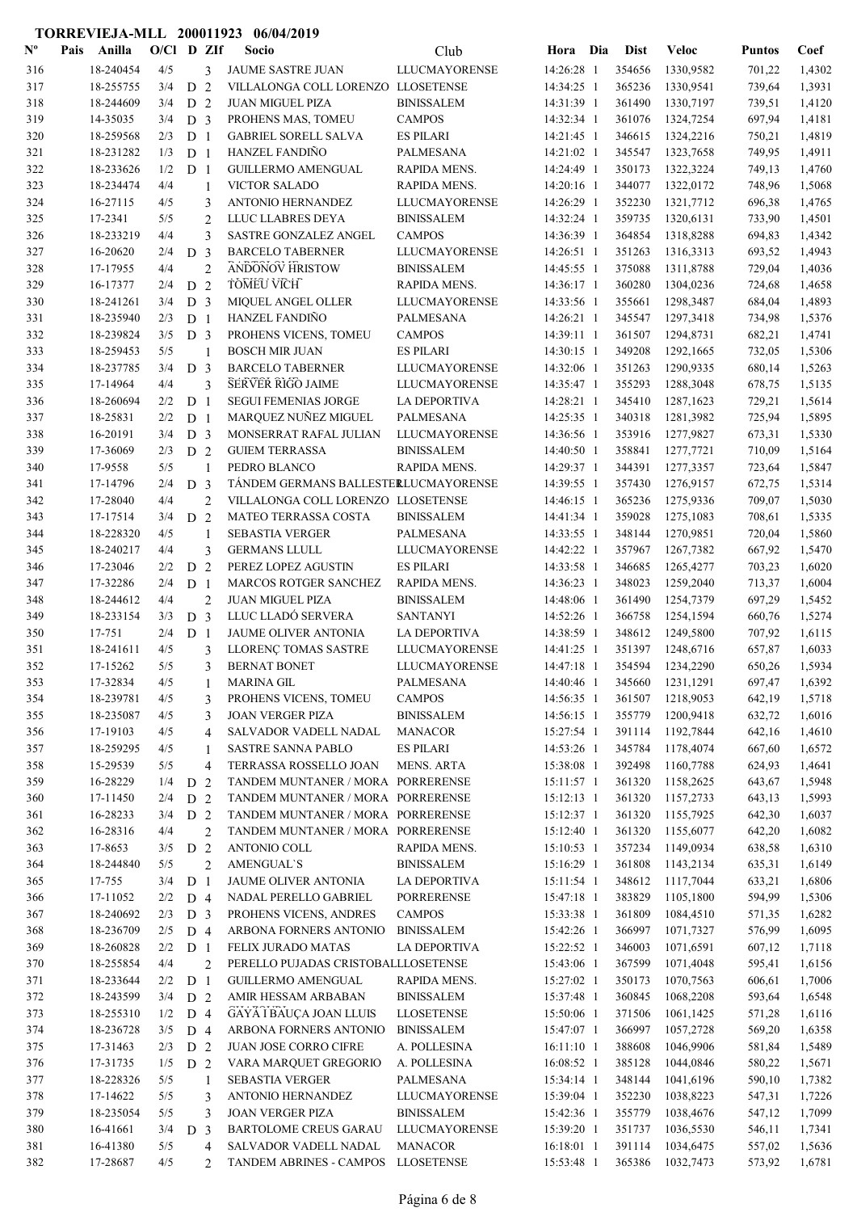| $N^{\text{o}}$ | Pais | Anilla               | $O/C1$ D ZIf |                |                | Socio                                                       | Club                 | Hora Dia                 | <b>Dist</b>      | <b>Veloc</b> | <b>Puntos</b> | Coef   |
|----------------|------|----------------------|--------------|----------------|----------------|-------------------------------------------------------------|----------------------|--------------------------|------------------|--------------|---------------|--------|
| 316            |      | 18-240454            | 4/5          |                | 3              | JAUME SASTRE JUAN                                           | <b>LLUCMAYORENSE</b> | 14:26:28 1               | 354656           | 1330,9582    | 701,22        | 1,4302 |
| 317            |      | 18-255755            | 3/4          | D <sub>2</sub> |                | VILLALONGA COLL LORENZO LLOSETENSE                          |                      | 14:34:25 1               | 365236           | 1330,9541    | 739,64        | 1,3931 |
| 318            |      | 18-244609            | 3/4          | D <sub>2</sub> |                | <b>JUAN MIGUEL PIZA</b>                                     | <b>BINISSALEM</b>    | 14:31:39 1               | 361490           | 1330,7197    | 739,51        | 1,4120 |
| 319            |      | 14-35035             | 3/4          | D <sub>3</sub> |                | PROHENS MAS, TOMEU                                          | <b>CAMPOS</b>        | 14:32:34 1               | 361076           | 1324,7254    | 697,94        | 1,4181 |
| 320            |      | 18-259568            | 2/3          | D <sub>1</sub> |                | <b>GABRIEL SORELL SALVA</b>                                 | <b>ES PILARI</b>     | 14:21:45 1               | 346615           | 1324,2216    | 750,21        | 1,4819 |
| 321            |      | 18-231282            | 1/3          | D <sub>1</sub> |                | <b>HANZEL FANDINO</b>                                       | PALMESANA            | 14:21:02 1               | 345547           | 1323,7658    | 749,95        | 1,4911 |
| 322            |      | 18-233626            | 1/2          | D <sub>1</sub> |                | <b>GUILLERMO AMENGUAL</b>                                   | RAPIDA MENS.         | 14:24:49 1               | 350173           | 1322,3224    | 749,13        | 1,4760 |
| 323            |      | 18-234474            | 4/4          |                | $\mathbf{1}$   | <b>VICTOR SALADO</b>                                        | RAPIDA MENS.         | 14:20:16 1               | 344077           | 1322,0172    | 748,96        | 1,5068 |
| 324            |      | 16-27115             | 4/5          |                | 3              | ANTONIO HERNANDEZ                                           | LLUCMAYORENSE        | 14:26:29 1               | 352230           | 1321,7712    | 696,38        | 1,4765 |
| 325            |      | 17-2341              | 5/5          |                | 2              | LLUC LLABRES DEYA                                           | <b>BINISSALEM</b>    | 14:32:24 1               | 359735           | 1320,6131    | 733,90        | 1,4501 |
| 326            |      | 18-233219            | 4/4          |                | 3              | SASTRE GONZALEZ ANGEL                                       | <b>CAMPOS</b>        | 14:36:39 1               | 364854           | 1318,8288    | 694,83        | 1,4342 |
| 327            |      | 16-20620             | 2/4          | D <sub>3</sub> |                | <b>BARCELO TABERNER</b>                                     | <b>LLUCMAYORENSE</b> | 14:26:51 1               | 351263           | 1316,3313    | 693,52        | 1,4943 |
| 328            |      | 17-17955             | 4/4          |                | $\overline{c}$ | <b>ANDONOV HRISTOW</b>                                      | <b>BINISSALEM</b>    | 14:45:55 1               | 375088           | 1311,8788    | 729,04        | 1,4036 |
| 329            |      | 16-17377             | 2/4          | D 2            |                | <b>TOMEU VICH</b>                                           | RAPIDA MENS.         | 14:36:17 1               | 360280           | 1304,0236    | 724,68        | 1,4658 |
| 330            |      | 18-241261            | 3/4          | D <sub>3</sub> |                | MIQUEL ANGEL OLLER                                          | LLUCMAYORENSE        | 14:33:56 1               | 355661           | 1298,3487    | 684,04        | 1,4893 |
| 331            |      | 18-235940            | 2/3          | D <sub>1</sub> |                | HANZEL FANDIÑO                                              | PALMESANA            | 14:26:21 1               | 345547           | 1297,3418    | 734,98        | 1,5376 |
| 332            |      | 18-239824            | 3/5          | D <sub>3</sub> |                | PROHENS VICENS, TOMEU                                       | <b>CAMPOS</b>        | 14:39:11 1               | 361507           | 1294,8731    | 682,21        | 1,4741 |
| 333            |      | 18-259453            | 5/5          |                | 1              | <b>BOSCH MIR JUAN</b>                                       | <b>ES PILARI</b>     | 14:30:15 1               | 349208           | 1292,1665    | 732,05        | 1,5306 |
| 334            |      | 18-237785            | 3/4          | D <sub>3</sub> |                | <b>BARCELO TABERNER</b>                                     | <b>LLUCMAYORENSE</b> | 14:32:06 1               | 351263           | 1290,9335    | 680,14        | 1,5263 |
| 335            |      | 17-14964             | 4/4          |                | 3              | <b>SERVER RIGO JAIME</b>                                    | LLUCMAYORENSE        | 14:35:47 1               | 355293           | 1288,3048    | 678,75        | 1,5135 |
| 336            |      | 18-260694            | 2/2          | D <sub>1</sub> |                | <b>SEGUI FEMENIAS JORGE</b>                                 | <b>LA DEPORTIVA</b>  | 14:28:21 1               | 345410           | 1287,1623    | 729,21        | 1,5614 |
| 337            |      | 18-25831             | 2/2          | D <sub>1</sub> |                | MARQUEZ NUÑEZ MIGUEL                                        | PALMESANA            | 14:25:35 1               | 340318           | 1281,3982    | 725,94        | 1,5895 |
| 338            |      | 16-20191             | 3/4          | D <sub>3</sub> |                | MONSERRAT RAFAL JULIAN                                      | <b>LLUCMAYORENSE</b> | 14:36:56 1               | 353916           | 1277,9827    | 673,31        | 1,5330 |
| 339            |      | 17-36069             | 2/3          | D <sub>2</sub> |                | <b>GUIEM TERRASSA</b>                                       | <b>BINISSALEM</b>    | 14:40:50 1               | 358841           | 1277,7721    | 710,09        | 1,5164 |
| 340            |      | 17-9558              | 5/5          |                | $\mathbf{1}$   | PEDRO BLANCO                                                | RAPIDA MENS.         | 14:29:37 1               | 344391           | 1277,3357    | 723,64        | 1,5847 |
| 341            |      | 17-14796             | 2/4          | D <sub>3</sub> |                | TÁNDEM GERMANS BALLESTERLUCMAYORENSE                        |                      | 14:39:55 1               | 357430           | 1276,9157    | 672,75        | 1,5314 |
| 342            |      | 17-28040             | 4/4          |                | $\overline{2}$ | VILLALONGA COLL LORENZO LLOSETENSE                          |                      | 14:46:15 1               | 365236           | 1275,9336    | 709,07        | 1,5030 |
| 343            |      | 17-17514             | 3/4          | D <sub>2</sub> |                | MATEO TERRASSA COSTA                                        | <b>BINISSALEM</b>    | 14:41:34 1               | 359028           | 1275,1083    | 708,61        | 1,5335 |
| 344            |      | 18-228320            | 4/5          |                | 1              | <b>SEBASTIA VERGER</b>                                      | PALMESANA            | 14:33:55 1               | 348144           | 1270,9851    | 720,04        | 1,5860 |
| 345            |      | 18-240217            | 4/4          |                | 3              | <b>GERMANS LLULL</b>                                        | <b>LLUCMAYORENSE</b> | 14:42:22 1               | 357967           | 1267,7382    | 667,92        | 1,5470 |
| 346            |      | 17-23046             | 2/2          | D <sub>2</sub> |                | PEREZ LOPEZ AGUSTIN                                         | <b>ES PILARI</b>     | 14:33:58 1               | 346685           | 1265,4277    | 703,23        | 1,6020 |
| 347            |      | 17-32286             | 2/4          | D <sub>1</sub> |                | MARCOS ROTGER SANCHEZ                                       | RAPIDA MENS.         | 14:36:23 1               | 348023           | 1259,2040    | 713,37        | 1,6004 |
| 348            |      | 18-244612            | 4/4          |                | $\overline{2}$ | <b>JUAN MIGUEL PIZA</b>                                     | <b>BINISSALEM</b>    | 14:48:06 1               | 361490           | 1254,7379    | 697,29        | 1,5452 |
| 349            |      | 18-233154            | 3/3          | D <sub>3</sub> |                | LLUC LLADÓ SERVERA                                          | <b>SANTANYI</b>      | 14:52:26 1               | 366758           | 1254,1594    | 660,76        | 1,5274 |
| 350            |      | 17-751               | 2/4          | D <sub>1</sub> |                | JAUME OLIVER ANTONIA                                        | <b>LA DEPORTIVA</b>  | 14:38:59 1               | 348612           | 1249,5800    | 707,92        | 1,6115 |
| 351            |      | 18-241611            | 4/5          |                | 3              | LLORENÇ TOMAS SASTRE                                        | <b>LLUCMAYORENSE</b> | 14:41:25 1               | 351397           | 1248,6716    | 657,87        | 1,6033 |
| 352            |      | 17-15262             | 5/5          |                | 3              | <b>BERNAT BONET</b>                                         | LLUCMAYORENSE        | 14:47:18 1               | 354594           | 1234,2290    | 650,26        | 1,5934 |
| 353            |      | 17-32834             | 4/5          |                | 1              | <b>MARINA GIL</b>                                           | <b>PALMESANA</b>     | 14:40:46 1               | 345660           | 1231,1291    | 697,47        | 1,6392 |
| 354            |      | 18-239781            | 4/5          |                | 3              | PROHENS VICENS, TOMEU                                       | <b>CAMPOS</b>        | 14:56:35 1               | 361507           | 1218,9053    | 642,19        | 1,5718 |
| 355            |      | 18-235087            | 4/5          |                | 3              | <b>JOAN VERGER PIZA</b>                                     | <b>BINISSALEM</b>    | 14:56:15 1               | 355779           | 1200,9418    | 632,72        | 1,6016 |
| 356            |      | 17-19103             | 4/5          |                | $\overline{4}$ | SALVADOR VADELL NADAL                                       | <b>MANACOR</b>       | 15:27:54 1               | 391114           | 1192,7844    | 642,16        | 1,4610 |
| 357            |      | 18-259295            | 4/5          |                | 1              | SASTRE SANNA PABLO                                          | <b>ES PILARI</b>     | 14:53:26 1               | 345784           | 1178,4074    | 667,60        | 1,6572 |
| 358            |      | 15-29539             | 5/5          |                | $\overline{4}$ | TERRASSA ROSSELLO JOAN                                      | <b>MENS. ARTA</b>    | 15:38:08 1               | 392498           | 1160,7788    | 624,93        | 1,4641 |
| 359            |      | 16-28229             | 1/4          | D <sub>2</sub> |                | TANDEM MUNTANER / MORA PORRERENSE                           |                      | $15:11:57$ 1             | 361320           | 1158,2625    | 643,67        | 1,5948 |
| 360            |      | 17-11450             | 2/4          | D <sub>2</sub> |                | TANDEM MUNTANER / MORA PORRERENSE                           |                      | $15:12:13$ 1             | 361320           | 1157,2733    | 643,13        | 1,5993 |
| 361            |      | 16-28233             | 3/4          | D <sub>2</sub> |                | TANDEM MUNTANER / MORA PORRERENSE                           |                      | 15:12:37 1               | 361320           | 1155,7925    | 642,30        | 1,6037 |
| 362            |      | 16-28316             | 4/4          |                | $\overline{2}$ | TANDEM MUNTANER / MORA PORRERENSE                           |                      | 15:12:40 1               | 361320           | 1155,6077    | 642,20        | 1,6082 |
| 363            |      | 17-8653              | 3/5          | D <sub>2</sub> |                | ANTONIO COLL                                                | RAPIDA MENS.         | 15:10:53 1               | 357234           | 1149,0934    | 638,58        | 1,6310 |
| 364            |      | 18-244840            | 5/5          |                | $\overline{2}$ | <b>AMENGUAL'S</b>                                           | <b>BINISSALEM</b>    | 15:16:29 1               | 361808           | 1143,2134    | 635,31        | 1,6149 |
| 365            |      | 17-755               | 3/4          | D <sub>1</sub> |                | JAUME OLIVER ANTONIA                                        | LA DEPORTIVA         | 15:11:54 1               | 348612           | 1117,7044    | 633,21        | 1,6806 |
| 366            |      | 17-11052             | 2/2          | D 4            |                | NADAL PERELLO GABRIEL                                       | <b>PORRERENSE</b>    | 15:47:18 1               | 383829           | 1105,1800    | 594,99        | 1,5306 |
| 367            |      | 18-240692            | 2/3          | D <sub>3</sub> |                | PROHENS VICENS, ANDRES                                      | <b>CAMPOS</b>        | 15:33:38 1               | 361809           | 1084,4510    | 571,35        | 1,6282 |
| 368            |      | 18-236709            | 2/5          | D <sub>4</sub> |                | ARBONA FORNERS ANTONIO                                      | <b>BINISSALEM</b>    | 15:42:26 1               | 366997           | 1071,7327    | 576,99        | 1,6095 |
| 369            |      | 18-260828            | 2/2          | D <sub>1</sub> |                | FELIX JURADO MATAS                                          | LA DEPORTIVA         | 15:22:52 1               | 346003           | 1071,6591    | 607,12        | 1,7118 |
| 370            |      | 18-255854            | 4/4          |                | $\mathfrak{2}$ | PERELLO PUJADAS CRISTOBALLLOSETENSE                         |                      | 15:43:06 1               | 367599           | 1071,4048    | 595,41        | 1,6156 |
| 371            |      | 18-233644            | 2/2          | D <sub>1</sub> |                | <b>GUILLERMO AMENGUAL</b>                                   | RAPIDA MENS.         | 15:27:02 1               | 350173           | 1070,7563    | 606,61        | 1,7006 |
| 372            |      | 18-243599            | 3/4          | D <sub>2</sub> |                | AMIR HESSAM ARBABAN                                         | <b>BINISSALEM</b>    | 15:37:48 1               | 360845           | 1068,2208    | 593,64        | 1,6548 |
| 373            |      | 18-255310            | 1/2          | D <sub>4</sub> |                | GAYÁ I BAUÇA JOAN LLUIS                                     | <b>LLOSETENSE</b>    | 15:50:06 1               | 371506           | 1061,1425    | 571,28        | 1,6116 |
| 374            |      | 18-236728            | 3/5          | D <sub>4</sub> |                | ARBONA FORNERS ANTONIO                                      | <b>BINISSALEM</b>    | 15:47:07 1               | 366997           | 1057,2728    | 569,20        | 1,6358 |
| 375            |      | 17-31463             | 2/3          | D 2            |                | JUAN JOSE CORRO CIFRE                                       | A. POLLESINA         | 16:11:10 1               | 388608           | 1046,9906    | 581,84        | 1,5489 |
| 376            |      | 17-31735             | 1/5          | D 2            |                | VARA MARQUET GREGORIO                                       | A. POLLESINA         | 16:08:52 1               | 385128           | 1044,0846    | 580,22        | 1,5671 |
| 377            |      | 18-228326            | 5/5          |                | 1              | <b>SEBASTIA VERGER</b>                                      | PALMESANA            | 15:34:14 1               | 348144           | 1041,6196    | 590,10        | 1,7382 |
| 378            |      | 17-14622             | 5/5          |                | 3              | ANTONIO HERNANDEZ                                           | LLUCMAYORENSE        | 15:39:04 1               | 352230           | 1038,8223    | 547,31        | 1,7226 |
| 379            |      | 18-235054            | 5/5          |                | 3              | <b>JOAN VERGER PIZA</b>                                     | <b>BINISSALEM</b>    | 15:42:36 1               | 355779           | 1038,4676    | 547,12        | 1,7099 |
| 380            |      | 16-41661             | 3/4          | D <sub>3</sub> |                | <b>BARTOLOME CREUS GARAU</b>                                | LLUCMAYORENSE        | 15:39:20 1               | 351737           | 1036,5530    | 546,11        | 1,7341 |
| 381<br>382     |      | 16-41380<br>17-28687 | 5/5<br>4/5   |                | $\overline{4}$ | SALVADOR VADELL NADAL<br>TANDEM ABRINES - CAMPOS LLOSETENSE | <b>MANACOR</b>       | 16:18:01 1<br>15:53:48 1 | 391114<br>365386 | 1034,6475    | 557,02        | 1,5636 |
|                |      |                      |              |                | 2              |                                                             |                      |                          |                  | 1032,7473    | 573,92        | 1,6781 |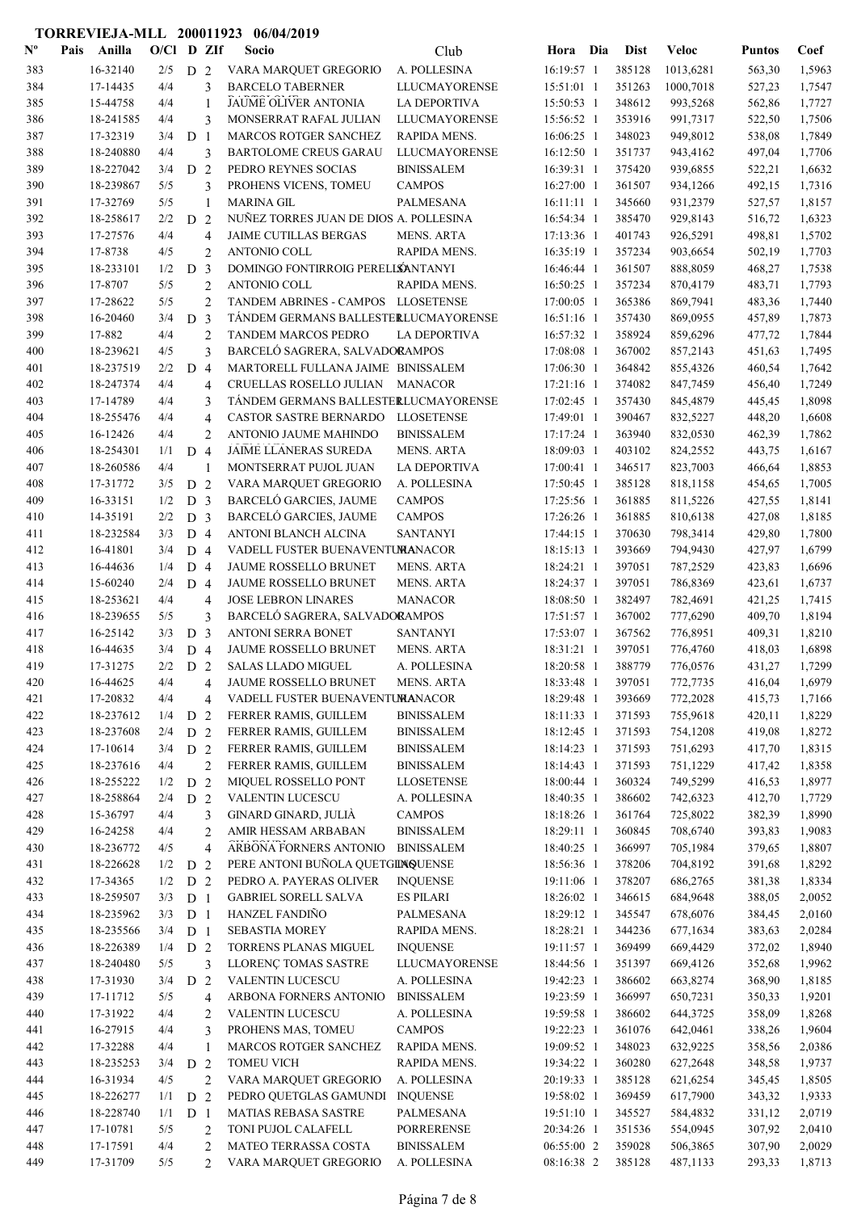| $\mathbf{N}^{\mathbf{o}}$ | Pais | Anilla               | O/Cl       |                | D ZIf               | Socio                                                        | Club                          | Hora                     | Dia | <b>Dist</b>      | <b>Veloc</b>         | <b>Puntos</b>    | Coef             |
|---------------------------|------|----------------------|------------|----------------|---------------------|--------------------------------------------------------------|-------------------------------|--------------------------|-----|------------------|----------------------|------------------|------------------|
| 383                       |      | 16-32140             | 2/5        | D <sub>2</sub> |                     | VARA MARQUET GREGORIO                                        | A. POLLESINA                  | 16:19:57 1               |     | 385128           | 1013,6281            | 563,30           | 1,5963           |
| 384                       |      | 17-14435             | 4/4        |                | 3                   | <b>BARCELO TABERNER</b>                                      | <b>LLUCMAYORENSE</b>          | 15:51:01 1               |     | 351263           | 1000,7018            | 527,23           | 1,7547           |
| 385                       |      | 15-44758             | 4/4        |                | 1                   | JAUME OLIVER ANTONIA                                         | <b>LA DEPORTIVA</b>           | 15:50:53 1               |     | 348612           | 993,5268             | 562,86           | 1,7727           |
| 386                       |      | 18-241585            | 4/4        |                | 3                   | MONSERRAT RAFAL JULIAN                                       | <b>LLUCMAYORENSE</b>          | 15:56:52 1               |     | 353916           | 991,7317             | 522,50           | 1,7506           |
| 387                       |      | 17-32319             | 3/4        | D <sub>1</sub> |                     | <b>MARCOS ROTGER SANCHEZ</b>                                 | RAPIDA MENS.                  | 16:06:25 1               |     | 348023           | 949,8012             | 538,08           | 1,7849           |
| 388                       |      | 18-240880            | 4/4        |                | 3                   | <b>BARTOLOME CREUS GARAU</b>                                 | <b>LLUCMAYORENSE</b>          | 16:12:50 1               |     | 351737           | 943,4162             | 497,04           | 1,7706           |
| 389                       |      | 18-227042            | 3/4        | D <sub>2</sub> |                     | PEDRO REYNES SOCIAS                                          | <b>BINISSALEM</b>             | 16:39:31 1               |     | 375420           | 939,6855             | 522,21           | 1,6632           |
| 390                       |      | 18-239867            | 5/5        |                | 3                   | PROHENS VICENS, TOMEU                                        | <b>CAMPOS</b>                 | 16:27:00 1               |     | 361507           | 934,1266             | 492,15           | 1,7316           |
| 391                       |      | 17-32769             | 5/5        |                | $\mathbf{1}$        | <b>MARINA GIL</b>                                            | <b>PALMESANA</b>              | $16:11:11$ 1             |     | 345660           | 931,2379             | 527,57           | 1,8157           |
| 392                       |      | 18-258617            | 2/2        | D              | 2                   | NUÑEZ TORRES JUAN DE DIOS A. POLLESINA                       |                               | 16:54:34 1               |     | 385470           | 929,8143             | 516,72           | 1,6323           |
| 393                       |      | 17-27576             | 4/4        |                | $\overline{4}$      | JAIME CUTILLAS BERGAS                                        | <b>MENS. ARTA</b>             | 17:13:36 1               |     | 401743           | 926,5291             | 498,81           | 1,5702           |
| 394                       |      | 17-8738              | 4/5        |                | $\overline{c}$      | <b>ANTONIO COLL</b>                                          | RAPIDA MENS.                  | 16:35:19 1               |     | 357234           | 903,6654             | 502,19           | 1,7703           |
| 395                       |      | 18-233101            | 1/2        | D <sub>3</sub> |                     | DOMINGO FONTIRROIG PERELLSANTANYI                            |                               | 16:46:44 1               |     | 361507           | 888,8059             | 468,27           | 1,7538           |
| 396                       |      | 17-8707              | 5/5        |                | $\overline{c}$      | <b>ANTONIO COLL</b>                                          | RAPIDA MENS.                  | 16:50:25 1               |     | 357234           | 870,4179             | 483,71           | 1,7793           |
| 397                       |      | 17-28622             | 5/5        |                | $\overline{c}$      | TANDEM ABRINES - CAMPOS LLOSETENSE                           |                               | 17:00:05 1               |     | 365386           | 869,7941             | 483,36           | 1,7440           |
| 398                       |      | 16-20460             | 3/4        | D <sub>3</sub> |                     | TÁNDEM GERMANS BALLESTERLUCMAYORENSE                         |                               | 16:51:16 1               |     | 357430           | 869,0955             | 457,89           | 1,7873           |
| 399<br>400                |      | 17-882<br>18-239621  | 4/4<br>4/5 |                | $\overline{c}$<br>3 | <b>TANDEM MARCOS PEDRO</b><br>BARCELÓ SAGRERA, SALVADORAMPOS | <b>LA DEPORTIVA</b>           | 16:57:32 1<br>17:08:08 1 |     | 358924<br>367002 | 859,6296             | 477,72           | 1,7844<br>1,7495 |
|                           |      | 18-237519            | 2/2        | D 4            |                     | MARTORELL FULLANA JAIME BINISSALEM                           |                               | 17:06:30 1               |     | 364842           | 857,2143             | 451,63           | 1,7642           |
| 401<br>402                |      | 18-247374            | 4/4        |                | $\overline{4}$      | CRUELLAS ROSELLO JULIAN                                      | MANACOR                       | $17:21:16$ 1             |     | 374082           | 855,4326<br>847,7459 | 460,54<br>456,40 | 1,7249           |
| 403                       |      | 17-14789             | 4/4        |                | 3                   | TÁNDEM GERMANS BALLESTERLUCMAYORENSE                         |                               | 17:02:45 1               |     | 357430           | 845,4879             | 445,45           | 1,8098           |
| 404                       |      | 18-255476            | 4/4        |                | $\overline{4}$      | <b>CASTOR SASTRE BERNARDO</b>                                | <b>LLOSETENSE</b>             | 17:49:01 1               |     | 390467           | 832,5227             | 448,20           | 1,6608           |
| 405                       |      | 16-12426             | 4/4        |                | 2                   | ANTONIO JAUME MAHINDO                                        | <b>BINISSALEM</b>             | 17:17:24 1               |     | 363940           | 832,0530             | 462,39           | 1,7862           |
| 406                       |      | 18-254301            | 1/1        | D 4            |                     | JAIME LLANERAS SUREDA                                        | <b>MENS. ARTA</b>             | 18:09:03 1               |     | 403102           | 824,2552             | 443,75           | 1,6167           |
| 407                       |      | 18-260586            | 4/4        |                | $\mathbf{1}$        | MONTSERRAT PUJOL JUAN                                        | <b>LA DEPORTIVA</b>           | 17:00:41 1               |     | 346517           | 823,7003             | 466,64           | 1,8853           |
| 408                       |      | 17-31772             | 3/5        | D <sub>2</sub> |                     | VARA MARQUET GREGORIO                                        | A. POLLESINA                  | 17:50:45 1               |     | 385128           | 818,1158             | 454,65           | 1,7005           |
| 409                       |      | 16-33151             | 1/2        | D <sub>3</sub> |                     | BARCELÓ GARCIES, JAUME                                       | <b>CAMPOS</b>                 | 17:25:56 1               |     | 361885           | 811,5226             | 427,55           | 1,8141           |
| 410                       |      | 14-35191             | 2/2        | D <sub>3</sub> |                     | BARCELÓ GARCIES, JAUME                                       | <b>CAMPOS</b>                 | 17:26:26 1               |     | 361885           | 810,6138             | 427,08           | 1,8185           |
| 411                       |      | 18-232584            | 3/3        | D <sub>4</sub> |                     | ANTONI BLANCH ALCINA                                         | <b>SANTANYI</b>               | 17:44:15 1               |     | 370630           | 798,3414             | 429,80           | 1,7800           |
| 412                       |      | 16-41801             | 3/4        | D <sub>4</sub> |                     | VADELL FUSTER BUENAVENTUMANACOR                              |                               | 18:15:13 1               |     | 393669           | 794,9430             | 427,97           | 1,6799           |
| 413                       |      | 16-44636             | 1/4        | D <sub>4</sub> |                     | JAUME ROSSELLO BRUNET                                        | <b>MENS. ARTA</b>             | 18:24:21 1               |     | 397051           | 787,2529             | 423,83           | 1,6696           |
| 414                       |      | 15-60240             | 2/4        | D <sub>4</sub> |                     | JAUME ROSSELLO BRUNET                                        | <b>MENS. ARTA</b>             | 18:24:37 1               |     | 397051           | 786,8369             | 423,61           | 1,6737           |
| 415                       |      | 18-253621            | 4/4        |                | $\overline{4}$      | <b>JOSE LEBRON LINARES</b>                                   | <b>MANACOR</b>                | 18:08:50 1               |     | 382497           | 782,4691             | 421,25           | 1,7415           |
| 416                       |      | 18-239655            | 5/5        |                | 3                   | BARCELÓ SAGRERA, SALVADORAMPOS                               |                               | 17:51:57 1               |     | 367002           | 777,6290             | 409,70           | 1,8194           |
| 417                       |      | 16-25142             | 3/3        | D <sub>3</sub> |                     | ANTONI SERRA BONET                                           | <b>SANTANYI</b>               | 17:53:07 1               |     | 367562           | 776,8951             | 409,31           | 1,8210           |
| 418                       |      | 16-44635             | 3/4        | D 4            |                     | <b>JAUME ROSSELLO BRUNET</b>                                 | <b>MENS. ARTA</b>             | 18:31:21 1               |     | 397051           | 776,4760             | 418,03           | 1,6898           |
| 419                       |      | 17-31275             | 2/2        | D <sub>2</sub> |                     | <b>SALAS LLADO MIGUEL</b>                                    | A. POLLESINA                  | 18:20:58 1               |     | 388779           | 776,0576             | 431,27           | 1,7299           |
| 420                       |      | 16-44625             | 4/4        |                | 4                   | JAUME ROSSELLO BRUNET                                        | <b>MENS. ARTA</b>             | 18:33:48 1               |     | 397051           | 772,7735             | 416,04           | 1,6979           |
| 421                       |      | 17-20832             | 4/4        |                | 4                   | VADELL FUSTER BUENAVENTUMANACOR                              |                               | 18:29:48 1               |     | 393669           | 772,2028             | 415,73           | 1,7166           |
| 422                       |      | 18-237612            | 1/4        | D <sub>2</sub> |                     | FERRER RAMIS, GUILLEM                                        | <b>BINISSALEM</b>             | 18:11:33 1               |     | 371593           | 755,9618             | 420,11           | 1,8229           |
| 423                       |      | 18-237608            | 2/4        | D 2            |                     | FERRER RAMIS, GUILLEM                                        | <b>BINISSALEM</b>             | 18:12:45 1               |     | 371593           | 754,1208             | 419,08           | 1,8272           |
| 424                       |      | 17-10614             | 3/4        | D <sub>2</sub> |                     | FERRER RAMIS, GUILLEM                                        | <b>BINISSALEM</b>             | 18:14:23 1               |     | 371593           | 751,6293             | 417,70           | 1,8315           |
| 425                       |      | 18-237616            | 4/4        |                | $\overline{2}$      | FERRER RAMIS, GUILLEM                                        | <b>BINISSALEM</b>             | 18:14:43 1               |     | 371593           | 751,1229             | 417,42           | 1,8358           |
| 426                       |      | 18-255222            | 1/2        | D <sub>2</sub> |                     | MIQUEL ROSSELLO PONT                                         | <b>LLOSETENSE</b>             | 18:00:44 1               |     | 360324           | 749,5299             | 416,53           | 1,8977           |
| 427                       |      | 18-258864            | 2/4        | D <sub>2</sub> |                     | VALENTIN LUCESCU                                             | A. POLLESINA                  | 18:40:35 1               |     | 386602           | 742,6323             | 412,70           | 1,7729           |
| 428                       |      | 15-36797             | 4/4        |                | 3                   | GINARD GINARD, JULIÀ                                         | <b>CAMPOS</b>                 | 18:18:26 1               |     | 361764           | 725,8022             | 382,39           | 1,8990           |
| 429                       |      | 16-24258             | 4/4        |                | 2                   | AMIR HESSAM ARBABAN                                          | <b>BINISSALEM</b>             | 18:29:11 1               |     | 360845           | 708,6740             | 393,83           | 1,9083           |
| 430                       |      | 18-236772            | 4/5        |                | $\overline{4}$      | ARBONA FORNERS ANTONIO                                       | <b>BINISSALEM</b>             | 18:40:25 1               |     | 366997           | 705,1984             | 379,65           | 1,8807           |
| 431                       |      | 18-226628            | 1/2        | D <sub>2</sub> |                     | PERE ANTONI BUÑOLA QUETGINQUENSE                             |                               | 18:56:36 1               |     | 378206           | 704,8192             | 391,68           | 1,8292           |
| 432                       |      | 17-34365             | 1/2        | D <sub>2</sub> |                     | PEDRO A. PAYERAS OLIVER                                      | <b>INQUENSE</b>               | 19:11:06 1               |     | 378207           | 686,2765             | 381,38           | 1,8334           |
| 433                       |      | 18-259507            | 3/3        | D <sub>1</sub> |                     | <b>GABRIEL SORELL SALVA</b>                                  | <b>ES PILARI</b>              | 18:26:02 1               |     | 346615           | 684,9648             | 388,05           | 2,0052           |
| 434                       |      | 18-235962            | 3/3        | D <sub>1</sub> |                     | HANZEL FANDIÑO                                               | PALMESANA                     | 18:29:12 1               |     | 345547           | 678,6076             | 384,45           | 2,0160           |
| 435                       |      | 18-235566            | 3/4        | D <sub>1</sub> |                     | SEBASTIA MOREY                                               | RAPIDA MENS.                  | 18:28:21 1               |     | 344236           | 677,1634             | 383,63           | 2,0284           |
| 436                       |      | 18-226389            | 1/4        | D <sub>2</sub> |                     | TORRENS PLANAS MIGUEL                                        | <b>INQUENSE</b>               | 19:11:57 1               |     | 369499           | 669,4429             | 372,02           | 1,8940           |
| 437                       |      | 18-240480            | 5/5        |                | 3                   | LLORENÇ TOMAS SASTRE                                         | <b>LLUCMAYORENSE</b>          | 18:44:56 1               |     | 351397           | 669,4126             | 352,68           | 1,9962           |
| 438                       |      | 17-31930             | 3/4        | D <sub>2</sub> |                     | <b>VALENTIN LUCESCU</b>                                      | A. POLLESINA                  | 19:42:23 1               |     | 386602           | 663,8274             | 368,90           | 1,8185           |
| 439                       |      | 17-11712             | 5/5        |                | $\overline{4}$      | ARBONA FORNERS ANTONIO                                       | <b>BINISSALEM</b>             | 19:23:59 1               |     | 366997           | 650,7231             | 350,33           | 1,9201           |
| 440                       |      | 17-31922<br>16-27915 | 4/4<br>4/4 |                | 2                   | VALENTIN LUCESCU                                             | A. POLLESINA<br><b>CAMPOS</b> | 19:59:58 1<br>19:22:23 1 |     | 386602           | 644,3725             | 358,09           | 1,8268           |
| 441<br>442                |      | 17-32288             | 4/4        |                | 3                   | PROHENS MAS, TOMEU                                           |                               | 19:09:52 1               |     | 361076<br>348023 | 642,0461<br>632,9225 | 338,26           | 1,9604           |
| 443                       |      | 18-235253            |            |                | 1                   | <b>MARCOS ROTGER SANCHEZ</b><br><b>TOMEU VICH</b>            | RAPIDA MENS.<br>RAPIDA MENS.  | 19:34:22 1               |     | 360280           | 627,2648             | 358,56           | 2,0386           |
| 444                       |      | 16-31934             | 3/4<br>4/5 | D <sub>2</sub> | $\overline{2}$      | VARA MARQUET GREGORIO                                        | A. POLLESINA                  | 20:19:33 1               |     | 385128           | 621,6254             | 348,58<br>345,45 | 1,9737<br>1,8505 |
| 445                       |      | 18-226277            | 1/1        | D <sub>2</sub> |                     | PEDRO QUETGLAS GAMUNDI                                       | <b>INQUENSE</b>               | 19:58:02 1               |     | 369459           | 617,7900             | 343,32           | 1,9333           |
| 446                       |      | 18-228740            | 1/1        | D <sub>1</sub> |                     | <b>MATIAS REBASA SASTRE</b>                                  | PALMESANA                     | 19:51:10 1               |     | 345527           | 584,4832             | 331,12           | 2,0719           |
| 447                       |      | 17-10781             | 5/5        |                | $\overline{2}$      | TONI PUJOL CALAFELL                                          | PORRERENSE                    | 20:34:26 1               |     | 351536           | 554,0945             | 307,92           | 2,0410           |
| 448                       |      | 17-17591             | 4/4        |                | $\overline{2}$      | MATEO TERRASSA COSTA                                         | <b>BINISSALEM</b>             | 06:55:00 2               |     | 359028           | 506,3865             | 307,90           | 2,0029           |
| 449                       |      | 17-31709             | 5/5        |                | 2                   | VARA MARQUET GREGORIO                                        | A. POLLESINA                  | 08:16:38 2               |     | 385128           | 487,1133             | 293,33           | 1,8713           |
|                           |      |                      |            |                |                     |                                                              |                               |                          |     |                  |                      |                  |                  |